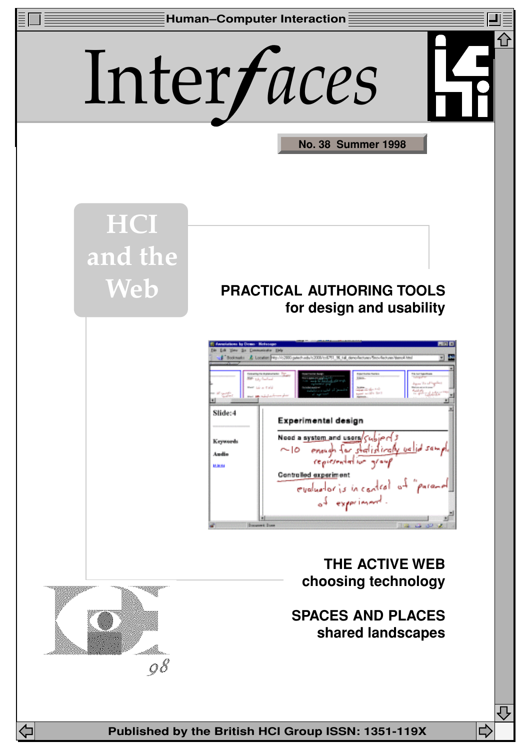

Published by the British HCI Group ISSN: 1351-119X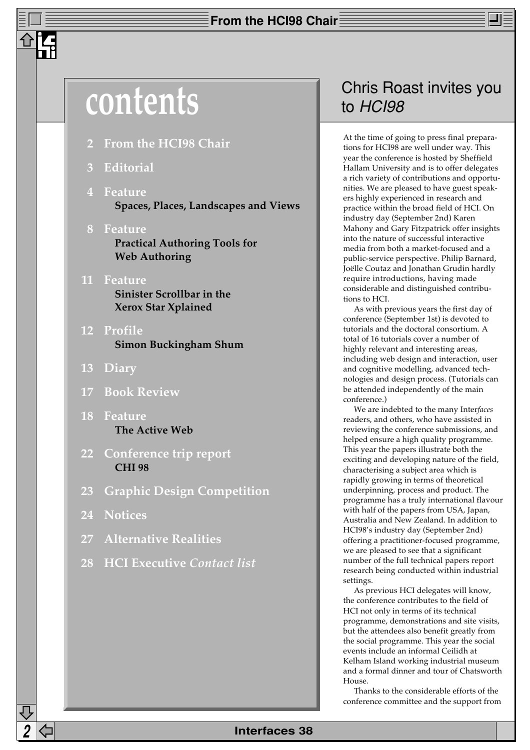- **2 From the HCI98 Chair**
- **3 Editorial**
- **4 Feature Spaces, Places, Landscapes and Views**
- **8 Feature Practical Authoring Tools for Web Authoring**
- **11 Feature Sinister Scrollbar in the Xerox Star Xplained**
- **12 Profile Simon Buckingham Shum**
- **13 Diary**
- **17 Book Review**
- **18 Feature The Active Web**
- **22 Conference trip report CHI 98**
- **23 Graphic Design Competition**
- **24 Notices**
- **27 Alternative Realities**
- **28 HCI Executive** *Contact list*

## **contents** Contents Contents Contents Contents Contents Contents Contents Contents of Chris Roast invites you to HCI98

At the time of going to press final preparations for HCI98 are well under way. This year the conference is hosted by Sheffield Hallam University and is to offer delegates a rich variety of contributions and opportunities. We are pleased to have guest speakers highly experienced in research and practice within the broad field of HCI. On industry day (September 2nd) Karen Mahony and Gary Fitzpatrick offer insights into the nature of successful interactive media from both a market-focused and a public-service perspective. Philip Barnard, Joëlle Coutaz and Jonathan Grudin hardly require introductions, having made considerable and distinguished contributions to HCI.

As with previous years the first day of conference (September 1st) is devoted to tutorials and the doctoral consortium. A total of 16 tutorials cover a number of highly relevant and interesting areas, including web design and interaction, user and cognitive modelling, advanced technologies and design process. (Tutorials can be attended independently of the main conference.)

We are indebted to the many Inter*faces* readers, and others, who have assisted in reviewing the conference submissions, and helped ensure a high quality programme. This year the papers illustrate both the exciting and developing nature of the field, characterising a subject area which is rapidly growing in terms of theoretical underpinning, process and product. The programme has a truly international flavour with half of the papers from USA, Japan, Australia and New Zealand. In addition to HCI98's industry day (September 2nd) offering a practitioner-focused programme, we are pleased to see that a significant number of the full technical papers report research being conducted within industrial settings.

As previous HCI delegates will know, the conference contributes to the field of HCI not only in terms of its technical programme, demonstrations and site visits, but the attendees also benefit greatly from the social programme. This year the social events include an informal Ceilidh at Kelham Island working industrial museum and a formal dinner and tour of Chatsworth House.

Thanks to the considerable efforts of the conference committee and the support from

## **2 Interfaces 38**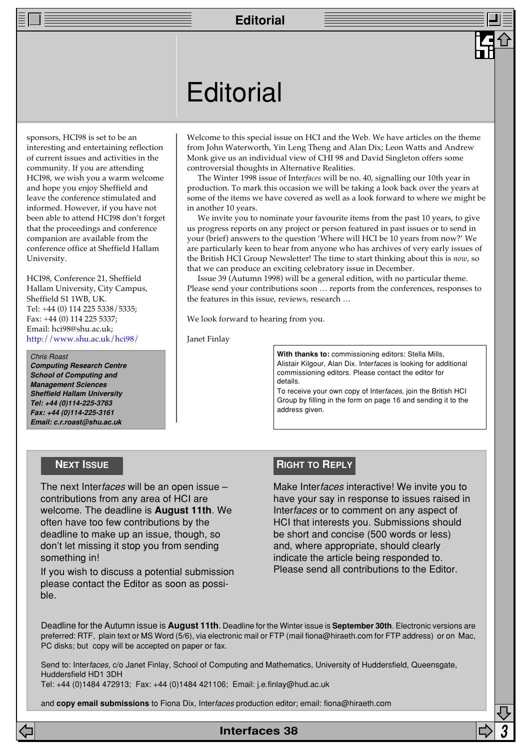## **Editorial**

sponsors, HCI98 is set to be an interesting and entertaining reflection of current issues and activities in the community. If you are attending HCI98, we wish you a warm welcome and hope you enjoy Sheffield and leave the conference stimulated and informed. However, if you have not been able to attend HCI98 don't forget that the proceedings and conference companion are available from the conference office at Sheffield Hallam University.

HCI98, Conference 21, Sheffield Hallam University, City Campus, Sheffield S1 1WB, UK. Tel: +44 (0) 114 225 5338/5335; Fax: +44 (0) 114 225 5337; Email: hci98@shu.ac.uk; <http://www.shu.ac.uk/hci98/>

Chris Roast **Computing Research Centre School of Computing and Management Sciences Sheffield Hallam University Tel: +44 (0)114-225-3763 Fax: +44 (0)114-225-3161**

**Email: c.r.roast@shu.ac.uk**

Welcome to this special issue on HCI and the Web. We have articles on the theme from John Waterworth, Yin Leng Theng and Alan Dix; Leon Watts and Andrew Monk give us an individual view of CHI 98 and David Singleton offers some controversial thoughts in Alternative Realities.

The Winter 1998 issue of Inter*faces* will be no. 40, signalling our 10th year in production. To mark this occasion we will be taking a look back over the years at some of the items we have covered as well as a look forward to where we might be in another 10 years.

We invite you to nominate your favourite items from the past 10 years, to give us progress reports on any project or person featured in past issues or to send in your (brief) answers to the question 'Where will HCI be 10 years from now?' We are particularly keen to hear from anyone who has archives of very early issues of the British HCI Group Newsletter! The time to start thinking about this is *now*, so that we can produce an exciting celebratory issue in December.

Issue 39 (Autumn 1998) will be a general edition, with no particular theme. Please send your contributions soon … reports from the conferences, responses to the features in this issue, reviews, research …

We look forward to hearing from you.

Janet Finlay

**With thanks to:** commissioning editors: Stella Mills, Alistair Kilgour, Alan Dix. Interfaces is looking for additional commissioning editors. Please contact the editor for details.

To receive your own copy of Interfaces, join the British HCI Group by filling in the form on page 16 and sending it to the address given.

The next Interfaces will be an open issue – contributions from any area of HCI are welcome. The deadline is **August 11th**. We often have too few contributions by the deadline to make up an issue, though, so don't let missing it stop you from sending something in!

If you wish to discuss a potential submission please contact the Editor as soon as possible.

## **NEXT ISSUE RIGHT TO REPLY**

Make Interfaces interactive! We invite you to have your say in response to issues raised in Interfaces or to comment on any aspect of HCI that interests you. Submissions should be short and concise (500 words or less) and, where appropriate, should clearly indicate the article being responded to. Please send all contributions to the Editor.

Deadline for the Autumn issue is **August 11th**. Deadline for the Winter issue is **September 30th**. Electronic versions are preferred: RTF, plain text or MS Word (5/6), via electronic mail or FTP (mail fiona@hiraeth.com for FTP address) or on Mac, PC disks; but copy will be accepted on paper or fax.

**Interfaces 38 3**

Send to: Interfaces, c/o Janet Finlay, School of Computing and Mathematics, University of Huddersfield, Queensgate, Huddersfield HD1 3DH

Tel: +44 (0)1484 472913; Fax: +44 (0)1484 421106; Email: j.e.finlay@hud.ac.uk

and **copy email submissions** to Fiona Dix, Interfaces production editor; email: fiona@hiraeth.com

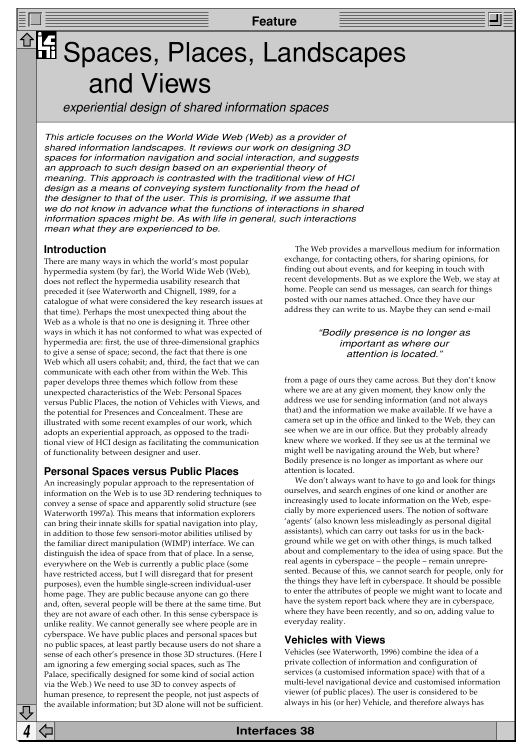# Spaces, Places, Landscapes and Views

experiential design of shared information spaces

This article focuses on the World Wide Web (Web) as a provider of shared information landscapes. It reviews our work on designing 3D spaces for information navigation and social interaction, and suggests an approach to such design based on an experiential theory of meaning. This approach is contrasted with the traditional view of HCI design as a means of conveying system functionality from the head of the designer to that of the user. This is promising, if we assume that we do not know in advance what the functions of interactions in shared information spaces might be. As with life in general, such interactions mean what they are experienced to be.

### **Introduction**

There are many ways in which the world's most popular hypermedia system (by far), the World Wide Web (Web), does not reflect the hypermedia usability research that preceded it (see Waterworth and Chignell, 1989, for a catalogue of what were considered the key research issues at that time). Perhaps the most unexpected thing about the Web as a whole is that no one is designing it. Three other ways in which it has not conformed to what was expected of hypermedia are: first, the use of three-dimensional graphics to give a sense of space; second, the fact that there is one Web which all users cohabit; and, third, the fact that we can communicate with each other from within the Web. This paper develops three themes which follow from these unexpected characteristics of the Web: Personal Spaces versus Public Places, the notion of Vehicles with Views, and the potential for Presences and Concealment. These are illustrated with some recent examples of our work, which adopts an experiential approach, as opposed to the traditional view of HCI design as facilitating the communication of functionality between designer and user.

### **Personal Spaces versus Public Places**

An increasingly popular approach to the representation of information on the Web is to use 3D rendering techniques to convey a sense of space and apparently solid structure (see Waterworth 1997a). This means that information explorers can bring their innate skills for spatial navigation into play, in addition to those few sensori-motor abilities utilised by the familiar direct manipulation (WIMP) interface. We can distinguish the idea of space from that of place. In a sense, everywhere on the Web is currently a public place (some have restricted access, but I will disregard that for present purposes), even the humble single-screen individual-user home page. They are public because anyone can go there and, often, several people will be there at the same time. But they are not aware of each other. In this sense cyberspace is unlike reality. We cannot generally see where people are in cyberspace. We have public places and personal spaces but no public spaces, at least partly because users do not share a sense of each other's presence in those 3D structures. (Here I am ignoring a few emerging social spaces, such as The Palace, specifically designed for some kind of social action via the Web.) We need to use 3D to convey aspects of human presence, to represent the people, not just aspects of the available information; but 3D alone will not be sufficient.

The Web provides a marvellous medium for information exchange, for contacting others, for sharing opinions, for finding out about events, and for keeping in touch with recent developments. But as we explore the Web, we stay at home. People can send us messages, can search for things posted with our names attached. Once they have our address they can write to us. Maybe they can send e-mail

#### "Bodily presence is no longer as important as where our attention is located."

from a page of ours they came across. But they don't know where we are at any given moment, they know only the address we use for sending information (and not always that) and the information we make available. If we have a camera set up in the office and linked to the Web, they can see when we are in our office. But they probably already knew where we worked. If they see us at the terminal we might well be navigating around the Web, but where? Bodily presence is no longer as important as where our attention is located.

We don't always want to have to go and look for things ourselves, and search engines of one kind or another are increasingly used to locate information on the Web, especially by more experienced users. The notion of software 'agents' (also known less misleadingly as personal digital assistants), which can carry out tasks for us in the background while we get on with other things, is much talked about and complementary to the idea of using space. But the real agents in cyberspace – the people – remain unrepresented. Because of this, we cannot search for people, only for the things they have left in cyberspace. It should be possible to enter the attributes of people we might want to locate and have the system report back where they are in cyberspace, where they have been recently, and so on, adding value to everyday reality.

#### **Vehicles with Views**

Vehicles (see Waterworth, 1996) combine the idea of a private collection of information and configuration of services (a customised information space) with that of a multi-level navigational device and customised information viewer (of public places). The user is considered to be always in his (or her) Vehicle, and therefore always has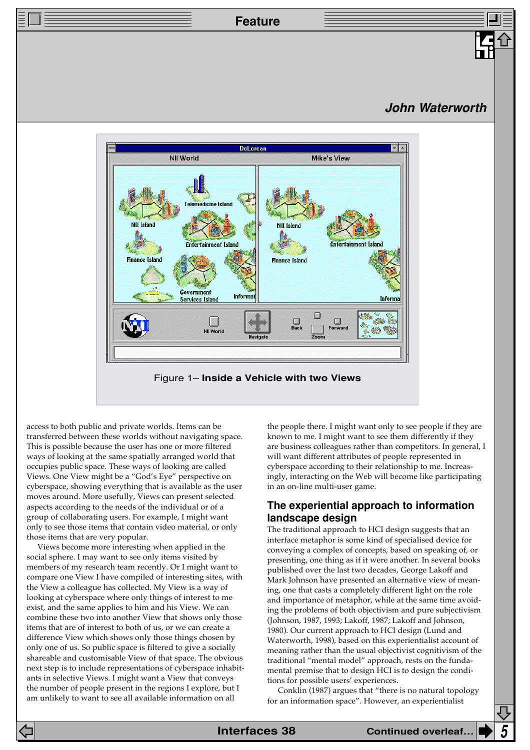**Feature**

## **John Waterworth**



access to both public and private worlds. Items can be transferred between these worlds without navigating space. This is possible because the user has one or more filtered ways of looking at the same spatially arranged world that occupies public space. These ways of looking are called Views. One View might be a "God's Eye" perspective on cyberspace, showing everything that is available as the user moves around. More usefully, Views can present selected aspects according to the needs of the individual or of a group of collaborating users. For example, I might want only to see those items that contain video material, or only those items that are very popular.

Views become more interesting when applied in the social sphere. I may want to see only items visited by members of my research team recently. Or I might want to compare one View I have compiled of interesting sites, with the View a colleague has collected. My View is a way of looking at cyberspace where only things of interest to me exist, and the same applies to him and his View. We can combine these two into another View that shows only those items that are of interest to both of us, or we can create a difference View which shows only those things chosen by only one of us. So public space is filtered to give a socially shareable and customisable View of that space. The obvious next step is to include representations of cyberspace inhabitants in selective Views. I might want a View that conveys the number of people present in the regions I explore, but I am unlikely to want to see all available information on all

the people there. I might want only to see people if they are known to me. I might want to see them differently if they are business colleagues rather than competitors. In general, I will want different attributes of people represented in cyberspace according to their relationship to me. Increasingly, interacting on the Web will become like participating in an on-line multi-user game.

## **The experiential approach to information landscape design**

The traditional approach to HCI design suggests that an interface metaphor is some kind of specialised device for conveying a complex of concepts, based on speaking of, or presenting, one thing as if it were another. In several books published over the last two decades, George Lakoff and Mark Johnson have presented an alternative view of meaning, one that casts a completely different light on the role and importance of metaphor, while at the same time avoiding the problems of both objectivism and pure subjectivism (Johnson, 1987, 1993; Lakoff, 1987; Lakoff and Johnson, 1980). Our current approach to HCI design (Lund and Waterworth, 1998), based on this experientialist account of meaning rather than the usual objectivist cognitivism of the traditional "mental model" approach, rests on the fundamental premise that to design HCI is to design the conditions for possible users' experiences.

Conklin (1987) argues that "there is no natural topology for an information space". However, an experientialist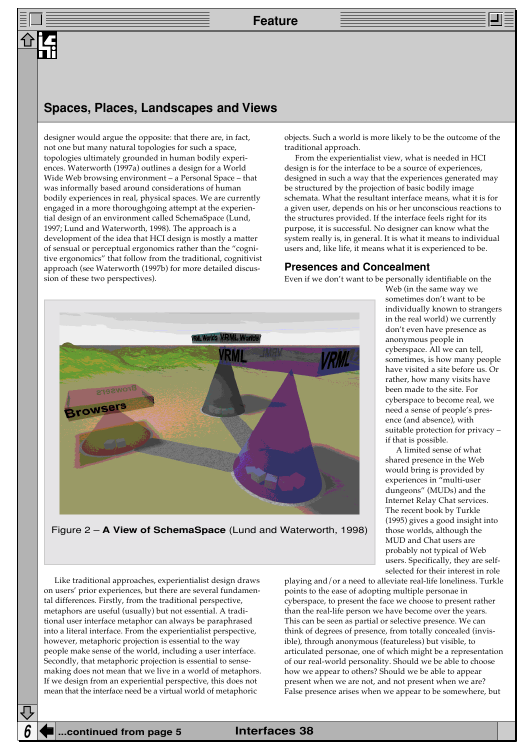## **Spaces, Places, Landscapes and Views**

designer would argue the opposite: that there are, in fact, not one but many natural topologies for such a space, topologies ultimately grounded in human bodily experiences. Waterworth (1997a) outlines a design for a World Wide Web browsing environment – a Personal Space – that was informally based around considerations of human bodily experiences in real, physical spaces. We are currently engaged in a more thoroughgoing attempt at the experiential design of an environment called SchemaSpace (Lund, 1997; Lund and Waterworth, 1998). The approach is a development of the idea that HCI design is mostly a matter of sensual or perceptual ergonomics rather than the "cognitive ergonomics" that follow from the traditional, cognitivist approach (see Waterworth (1997b) for more detailed discussion of these two perspectives).

objects. Such a world is more likely to be the outcome of the traditional approach.

From the experientialist view, what is needed in HCI design is for the interface to be a source of experiences, designed in such a way that the experiences generated may be structured by the projection of basic bodily image schemata. What the resultant interface means, what it is for a given user, depends on his or her unconscious reactions to the structures provided. If the interface feels right for its purpose, it is successful. No designer can know what the system really is, in general. It is what it means to individual users and, like life, it means what it is experienced to be.

#### **Presences and Concealment**

Even if we don't want to be personally identifiable on the



Figure 2 – **A View of SchemaSpace** (Lund and Waterworth, 1998)

Web (in the same way we sometimes don't want to be individually known to strangers in the real world) we currently don't even have presence as anonymous people in cyberspace. All we can tell, sometimes, is how many people have visited a site before us. Or rather, how many visits have been made to the site. For cyberspace to become real, we need a sense of people's presence (and absence), with suitable protection for privacy – if that is possible.

A limited sense of what shared presence in the Web would bring is provided by experiences in "multi-user dungeons" (MUDs) and the Internet Relay Chat services. The recent book by Turkle (1995) gives a good insight into those worlds, although the MUD and Chat users are probably not typical of Web users. Specifically, they are selfselected for their interest in role

Like traditional approaches, experientialist design draws on users' prior experiences, but there are several fundamental differences. Firstly, from the traditional perspective, metaphors are useful (usually) but not essential. A traditional user interface metaphor can always be paraphrased into a literal interface. From the experientialist perspective, however, metaphoric projection is essential to the way people make sense of the world, including a user interface. Secondly, that metaphoric projection is essential to sensemaking does not mean that we live in a world of metaphors. If we design from an experiential perspective, this does not mean that the interface need be a virtual world of metaphoric

playing and/or a need to alleviate real-life loneliness. Turkle points to the ease of adopting multiple personae in cyberspace, to present the face we choose to present rather than the real-life person we have become over the years. This can be seen as partial or selective presence. We can think of degrees of presence, from totally concealed (invisible), through anonymous (featureless) but visible, to articulated personae, one of which might be a representation of our real-world personality. Should we be able to choose how we appear to others? Should we be able to appear present when we are not, and not present when we are? False presence arises when we appear to be somewhere, but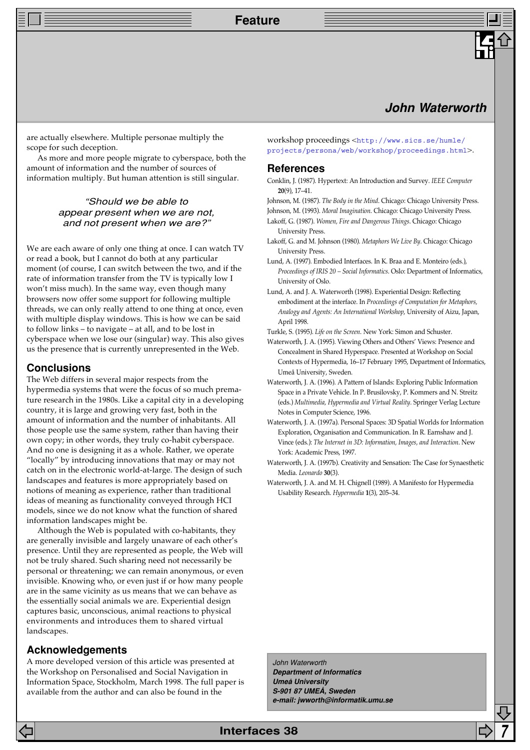**Feature**

## **John Waterworth**

are actually elsewhere. Multiple personae multiply the scope for such deception.

As more and more people migrate to cyberspace, both the amount of information and the number of sources of information multiply. But human attention is still singular.

#### "Should we be able to appear present when we are not, and not present when we are?"

We are each aware of only one thing at once. I can watch TV or read a book, but I cannot do both at any particular moment (of course, I can switch between the two, and if the rate of information transfer from the TV is typically low I won't miss much). In the same way, even though many browsers now offer some support for following multiple threads, we can only really attend to one thing at once, even with multiple display windows. This is how we can be said to follow links – to navigate – at all, and to be lost in cyberspace when we lose our (singular) way. This also gives us the presence that is currently unrepresented in the Web.

### **Conclusions**

The Web differs in several major respects from the hypermedia systems that were the focus of so much premature research in the 1980s. Like a capital city in a developing country, it is large and growing very fast, both in the amount of information and the number of inhabitants. All those people use the same system, rather than having their own copy; in other words, they truly co-habit cyberspace. And no one is designing it as a whole. Rather, we operate "locally" by introducing innovations that may or may not catch on in the electronic world-at-large. The design of such landscapes and features is more appropriately based on notions of meaning as experience, rather than traditional ideas of meaning as functionality conveyed through HCI models, since we do not know what the function of shared information landscapes might be.

Although the Web is populated with co-habitants, they are generally invisible and largely unaware of each other's presence. Until they are represented as people, the Web will not be truly shared. Such sharing need not necessarily be personal or threatening; we can remain anonymous, or even invisible. Knowing who, or even just if or how many people are in the same vicinity as us means that we can behave as the essentially social animals we are. Experiential design captures basic, unconscious, animal reactions to physical environments and introduces them to shared virtual landscapes.

### **Acknowledgements**

A more developed version of this article was presented at the Workshop on Personalised and Social Navigation in Information Space, Stockholm, March 1998. The full paper is available from the author and can also be found in the

workshop proceedings <http://www.sics.se/humle/ [projects/persona/web/workshop/proceedings.html](http://www.sics.se/humle/projects/persona/web/workshop/)>.

#### **References**

Conklin, J. (1987). Hypertext: An Introduction and Survey. *IEEE Computer* **20**(9), 17–41.

Johnson, M. (1987). *The Body in the Mind*. Chicago: Chicago University Press. Johnson, M. (1993). *Moral Imagination*. Chicago: Chicago University Press.

- Lakoff, G. (1987). *Women, Fire and Dangerous Things*. Chicago: Chicago
- University Press.
- Lakoff, G. and M. Johnson (1980). *Metaphors We Live By*. Chicago: Chicago University Press.
- Lund, A. (1997). Embodied Interfaces. In K. Braa and E. Monteiro (eds.), *Proceedings of IRIS 20 – Social Informatics*. Oslo: Department of Informatics, University of Oslo.
- Lund, A. and J. A. Waterworth (1998). Experiential Design: Reflecting embodiment at the interface. In *Proceedings of Computation for Metaphors, Analogy and Agents: An International Workshop*, University of Aizu, Japan, April 1998.
- Turkle, S. (1995). *Life on the Screen*. New York: Simon and Schuster.
- Waterworth, J. A. (1995). Viewing Others and Others' Views: Presence and Concealment in Shared Hyperspace. Presented at Workshop on Social Contexts of Hypermedia, 16–17 February 1995, Department of Informatics, Umeå University, Sweden.
- Waterworth, J. A. (1996). A Pattern of Islands: Exploring Public Information Space in a Private Vehicle. In P. Brusilovsky, P. Kommers and N. Streitz (eds.) *Multimedia, Hypermedia and Virtual Reality*. Springer Verlag Lecture Notes in Computer Science, 1996.
- Waterworth, J. A. (1997a). Personal Spaces: 3D Spatial Worlds for Information Exploration, Organisation and Communication. In R. Earnshaw and J. Vince (eds.): *The Internet in 3D: Information, Images, and Interaction*. New York: Academic Press, 1997.
- Waterworth, J. A. (1997b). Creativity and Sensation: The Case for Synaesthetic Media. *Leonardo* **30**(3).
- Waterworth, J. A. and M. H. Chignell (1989). A Manifesto for Hypermedia Usability Research. *Hypermedia* **1**(3), 205–34.

John Waterworth **Department of Informatics Umeå University S-901 87 UMEÅ, Sweden e-mail: jwworth@informatik.umu.se**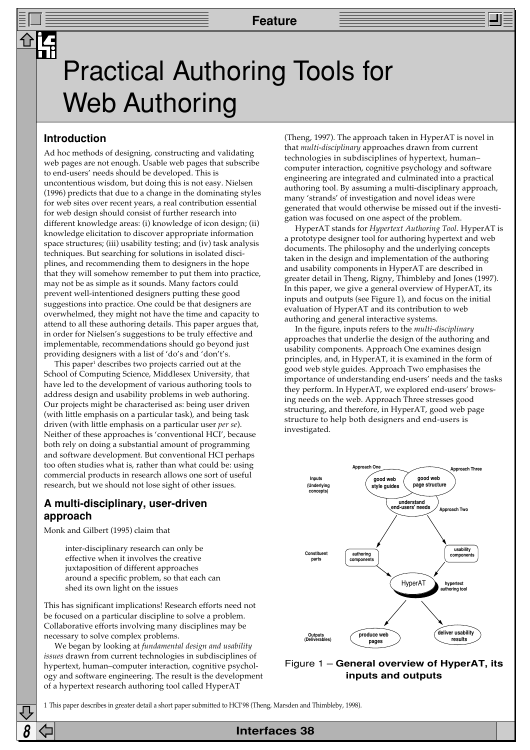# Practical Authoring Tools for Web Authoring

## **Introduction**

Ad hoc methods of designing, constructing and validating web pages are not enough. Usable web pages that subscribe to end-users' needs should be developed. This is uncontentious wisdom, but doing this is not easy. Nielsen (1996) predicts that due to a change in the dominating styles for web sites over recent years, a real contribution essential for web design should consist of further research into different knowledge areas: (i) knowledge of icon design; (ii) knowledge elicitation to discover appropriate information space structures; (iii) usability testing; and (iv) task analysis techniques. But searching for solutions in isolated disciplines, and recommending them to designers in the hope that they will somehow remember to put them into practice, may not be as simple as it sounds. Many factors could prevent well-intentioned designers putting these good suggestions into practice. One could be that designers are overwhelmed, they might not have the time and capacity to attend to all these authoring details. This paper argues that, in order for Nielsen's suggestions to be truly effective and implementable, recommendations should go beyond just providing designers with a list of 'do's and 'don't's.

This paper<sup>1</sup> describes two projects carried out at the School of Computing Science, Middlesex University, that have led to the development of various authoring tools to address design and usability problems in web authoring. Our projects might be characterised as: being user driven (with little emphasis on a particular task), and being task driven (with little emphasis on a particular user *per se*). Neither of these approaches is 'conventional HCI', because both rely on doing a substantial amount of programming and software development. But conventional HCI perhaps too often studies what is, rather than what could be: using commercial products in research allows one sort of useful research, but we should not lose sight of other issues.

## **A multi-disciplinary, user-driven approach**

Monk and Gilbert (1995) claim that

inter-disciplinary research can only be effective when it involves the creative juxtaposition of different approaches around a specific problem, so that each can shed its own light on the issues

This has significant implications! Research efforts need not be focused on a particular discipline to solve a problem. Collaborative efforts involving many disciplines may be necessary to solve complex problems.

We began by looking at *fundamental design and usability issues* drawn from current technologies in subdisciplines of hypertext, human–computer interaction, cognitive psychology and software engineering. The result is the development of a hypertext research authoring tool called HyperAT

(Theng, 1997). The approach taken in HyperAT is novel in that *multi-disciplinary* approaches drawn from current technologies in subdisciplines of hypertext, human– computer interaction, cognitive psychology and software engineering are integrated and culminated into a practical authoring tool. By assuming a multi-disciplinary approach, many 'strands' of investigation and novel ideas were generated that would otherwise be missed out if the investigation was focused on one aspect of the problem.

HyperAT stands for *Hypertext Authoring Tool*. HyperAT is a prototype designer tool for authoring hypertext and web documents. The philosophy and the underlying concepts taken in the design and implementation of the authoring and usability components in HyperAT are described in greater detail in Theng, Rigny, Thimbleby and Jones (1997). In this paper, we give a general overview of HyperAT, its inputs and outputs (see Figure 1), and focus on the initial evaluation of HyperAT and its contribution to web authoring and general interactive systems.

In the figure, inputs refers to the *multi-disciplinary* approaches that underlie the design of the authoring and usability components. Approach One examines design principles, and, in HyperAT, it is examined in the form of good web style guides. Approach Two emphasises the importance of understanding end-users' needs and the tasks they perform. In HyperAT, we explored end-users' browsing needs on the web. Approach Three stresses good structuring, and therefore, in HyperAT, good web page structure to help both designers and end-users is investigated.



#### Figure 1 – **General overview of HyperAT, its inputs and outputs**

1 This paper describes in greater detail a short paper submitted to HCI'98 (Theng, Marsden and Thimbleby, 1998).

**8 Interfaces 38**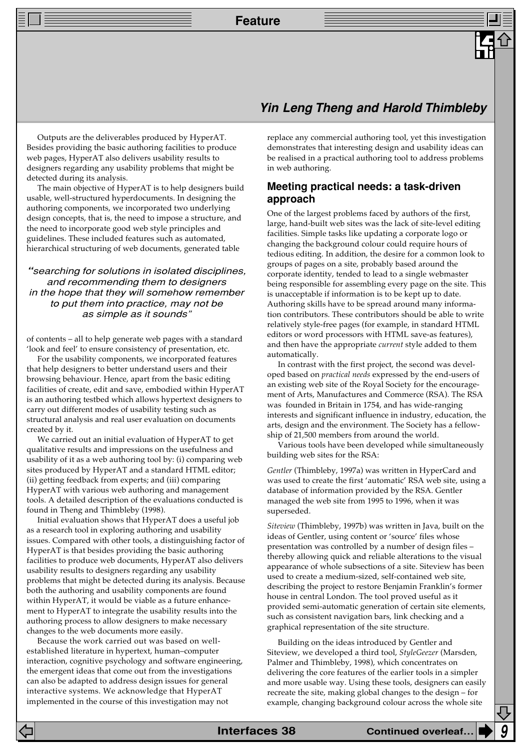**Feature**

## **Yin Leng Theng and Harold Thimbleby**

Outputs are the deliverables produced by HyperAT. Besides providing the basic authoring facilities to produce web pages, HyperAT also delivers usability results to designers regarding any usability problems that might be detected during its analysis.

The main objective of HyperAT is to help designers build usable, well-structured hyperdocuments. In designing the authoring components, we incorporated two underlying design concepts, that is, the need to impose a structure, and the need to incorporate good web style principles and guidelines. These included features such as automated, hierarchical structuring of web documents, generated table

**"**searching for solutions in isolated disciplines, and recommending them to designers in the hope that they will somehow remember to put them into practice, may not be as simple as it sounds"

of contents – all to help generate web pages with a standard 'look and feel' to ensure consistency of presentation, etc.

For the usability components, we incorporated features that help designers to better understand users and their browsing behaviour. Hence, apart from the basic editing facilities of create, edit and save, embodied within HyperAT is an authoring testbed which allows hypertext designers to carry out different modes of usability testing such as structural analysis and real user evaluation on documents created by it.

We carried out an initial evaluation of HyperAT to get qualitative results and impressions on the usefulness and usability of it as a web authoring tool by: (i) comparing web sites produced by HyperAT and a standard HTML editor; (ii) getting feedback from experts; and (iii) comparing HyperAT with various web authoring and management tools. A detailed description of the evaluations conducted is found in Theng and Thimbleby (1998).

Initial evaluation shows that HyperAT does a useful job as a research tool in exploring authoring and usability issues. Compared with other tools, a distinguishing factor of HyperAT is that besides providing the basic authoring facilities to produce web documents, HyperAT also delivers usability results to designers regarding any usability problems that might be detected during its analysis. Because both the authoring and usability components are found within HyperAT, it would be viable as a future enhancement to HyperAT to integrate the usability results into the authoring process to allow designers to make necessary changes to the web documents more easily.

Because the work carried out was based on wellestablished literature in hypertext, human–computer interaction, cognitive psychology and software engineering, the emergent ideas that come out from the investigations can also be adapted to address design issues for general interactive systems. We acknowledge that HyperAT implemented in the course of this investigation may not

replace any commercial authoring tool, yet this investigation demonstrates that interesting design and usability ideas can be realised in a practical authoring tool to address problems in web authoring.

### **Meeting practical needs: a task-driven approach**

One of the largest problems faced by authors of the first, large, hand-built web sites was the lack of site-level editing facilities. Simple tasks like updating a corporate logo or changing the background colour could require hours of tedious editing. In addition, the desire for a common look to groups of pages on a site, probably based around the corporate identity, tended to lead to a single webmaster being responsible for assembling every page on the site. This is unacceptable if information is to be kept up to date. Authoring skills have to be spread around many information contributors. These contributors should be able to write relatively style-free pages (for example, in standard HTML editors or word processors with HTML save-as features), and then have the appropriate *current* style added to them automatically.

In contrast with the first project, the second was developed based on *practical needs* expressed by the end-users of an existing web site of the Royal Society for the encouragement of Arts, Manufactures and Commerce (RSA). The RSA was founded in Britain in 1754, and has wide-ranging interests and significant influence in industry, education, the arts, design and the environment. The Society has a fellowship of 21,500 members from around the world.

Various tools have been developed while simultaneously building web sites for the RSA:

*Gentler* (Thimbleby, 1997a) was written in HyperCard and was used to create the first 'automatic' RSA web site, using a database of information provided by the RSA. Gentler managed the web site from 1995 to 1996, when it was superseded.

*Siteview* (Thimbleby, 1997b) was written in Java, built on the ideas of Gentler, using content or 'source' files whose presentation was controlled by a number of design files – thereby allowing quick and reliable alterations to the visual appearance of whole subsections of a site. Siteview has been used to create a medium-sized, self-contained web site, describing the project to restore Benjamin Franklin's former house in central London. The tool proved useful as it provided semi-automatic generation of certain site elements, such as consistent navigation bars, link checking and a graphical representation of the site structure.

Building on the ideas introduced by Gentler and Siteview, we developed a third tool, *StyleGeezer* (Marsden, Palmer and Thimbleby, 1998), which concentrates on delivering the core features of the earlier tools in a simpler and more usable way. Using these tools, designers can easily recreate the site, making global changes to the design – for example, changing background colour across the whole site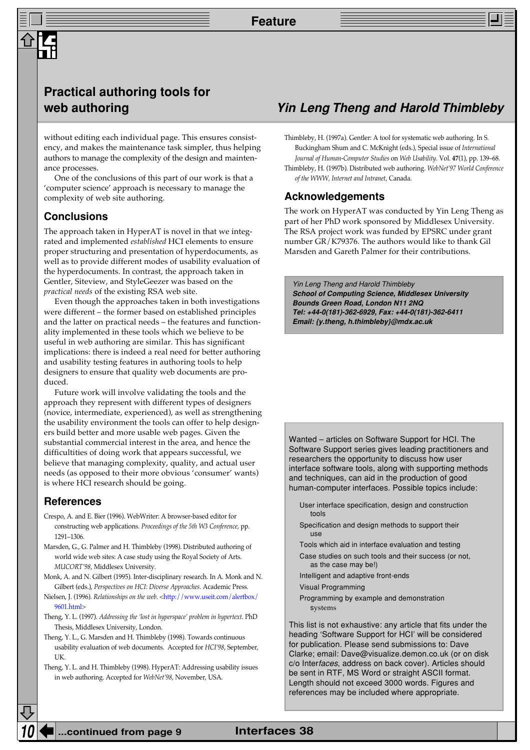## **Practical authoring tools for**

without editing each individual page. This ensures consistency, and makes the maintenance task simpler, thus helping authors to manage the complexity of the design and maintenance processes.

One of the conclusions of this part of our work is that a 'computer science' approach is necessary to manage the complexity of web site authoring.

### **Conclusions**

The approach taken in HyperAT is novel in that we integrated and implemented *established* HCI elements to ensure proper structuring and presentation of hyperdocuments, as well as to provide different modes of usability evaluation of the hyperdocuments. In contrast, the approach taken in Gentler, Siteview, and StyleGeezer was based on the *practical needs* of the existing RSA web site.

Even though the approaches taken in both investigations were different – the former based on established principles and the latter on practical needs – the features and functionality implemented in these tools which we believe to be useful in web authoring are similar. This has significant implications: there is indeed a real need for better authoring and usability testing features in authoring tools to help designers to ensure that quality web documents are produced.

Future work will involve validating the tools and the approach they represent with different types of designers (novice, intermediate, experienced), as well as strengthening the usability environment the tools can offer to help designers build better and more usable web pages. Given the substantial commercial interest in the area, and hence the difficultities of doing work that appears successful, we believe that managing complexity, quality, and actual user needs (as opposed to their more obvious 'consumer' wants) is where HCI research should be going.

#### **References**

Crespo, A. and E. Bier (1996). WebWriter: A browser-based editor for constructing web applications. *Proceedings of the 5th W3 Conference*, pp. 1291–1306.

Marsden, G., G. Palmer and H. Thimbleby (1998). Distributed authoring of world wide web sites: A case study using the Royal Society of Arts. *MUCORT'98*, Middlesex University.

- Monk, A. and N. Gilbert (1995). Inter-disciplinary research. In A. Monk and N. Gilbert (eds.), *Perspectives on HCI: Diverse Approaches*. Academic Press.
- Nielsen, J. (1996). *Relationships on the web*. [<http://www.useit.com/alertbox/](http://www.useit.com/alertbox/9601.html) 9601.html>
- Theng, Y. L. (1997). *Addressing the 'lost in hyperspace' problem in hypertext*. PhD Thesis, Middlesex University, London.
- Theng, Y. L., G. Marsden and H. Thimbleby (1998). Towards continuous usability evaluation of web documents. Accepted for *HCI'98*, September, UK.
- Theng, Y. L. and H. Thimbleby (1998). HyperAT: Addressing usability issues in web authoring. Accepted for *WebNet'98*, November, USA.

## **web authoring Yin Leng Theng and Harold Thimbleby**

Thimbleby, H. (1997a). Gentler: A tool for systematic web authoring. In S. Buckingham Shum and C. McKnight (eds.), Special issue of *International Journal of Human-Computer Studies* on *Web Usability*. Vol. **47**(1), pp. 139–68.

Thimbleby, H. (1997b). Distributed web authoring. *WebNet'97 World Conference of the WWW, Internet and Intranet*, Canada.

#### **Acknowledgements**

The work on HyperAT was conducted by Yin Leng Theng as part of her PhD work sponsored by Middlesex University. The RSA project work was funded by EPSRC under grant number GR/K79376. The authors would like to thank Gil Marsden and Gareth Palmer for their contributions.

Yin Leng Theng and Harold Thimbleby **School of Computing Science, Middlesex University Bounds Green Road, London N11 2NQ Tel: +44-0(181)-362-6929, Fax: +44-0(181)-362-6411 Email: {y.theng, h.thimbleby}@mdx.ac.uk**

Wanted – articles on Software Support for HCI. The Software Support series gives leading practitioners and researchers the opportunity to discuss how user interface software tools, along with supporting methods and techniques, can aid in the production of good human-computer interfaces. Possible topics include:

- User interface specification, design and construction tools
- Specification and design methods to support their use
- Tools which aid in interface evaluation and testing Case studies on such tools and their success (or not, as the case may be!)
- Intelligent and adaptive front-ends
- Visual Programming
- Programming by example and demonstration systems

This list is not exhaustive: any article that fits under the heading 'Software Support for HCI' will be considered for publication. Please send submissions to: Dave Clarke; email: Dave@visualize.demon.co.uk (or on disk c/o Interfaces, address on back cover). Articles should be sent in RTF, MS Word or straight ASCII format. Length should not exceed 3000 words. Figures and references may be included where appropriate.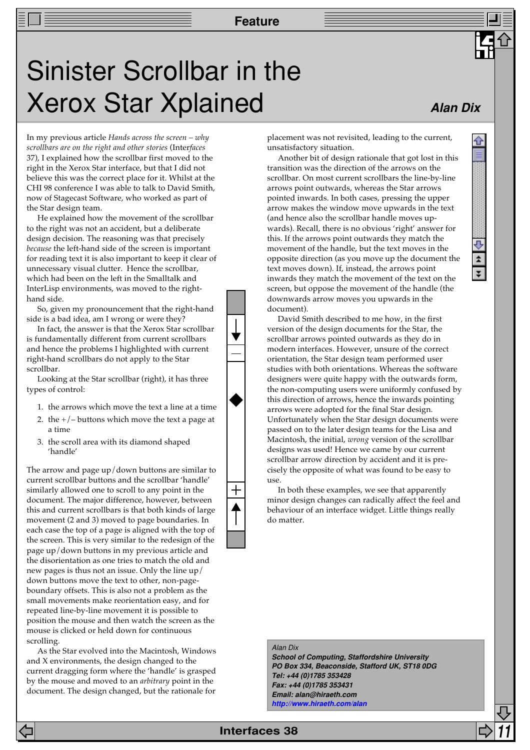## Sinister Scrollbar in the **Xerox Star Xplained Alan Dix**

In my previous article *Hands across the screen – why scrollbars are on the right and other stories* (Inter*faces* 37), I explained how the scrollbar first moved to the right in the Xerox Star interface, but that I did not believe this was the correct place for it. Whilst at the CHI 98 conference I was able to talk to David Smith, now of Stagecast Software, who worked as part of the Star design team.

He explained how the movement of the scrollbar to the right was not an accident, but a deliberate design decision. The reasoning was that precisely *because* the left-hand side of the screen is important for reading text it is also important to keep it clear of unnecessary visual clutter. Hence the scrollbar, which had been on the left in the Smalltalk and InterLisp environments, was moved to the righthand side.

So, given my pronouncement that the right-hand side is a bad idea, am I wrong or were they?

In fact, the answer is that the Xerox Star scrollbar is fundamentally different from current scrollbars and hence the problems I highlighted with current right-hand scrollbars do not apply to the Star scrollbar.

Looking at the Star scrollbar (right), it has three types of control:

- 1. the arrows which move the text a line at a time
- 2. the  $+/-$  buttons which move the text a page at a time
- 3. the scroll area with its diamond shaped 'handle'

The arrow and page up/down buttons are similar to current scrollbar buttons and the scrollbar 'handle' similarly allowed one to scroll to any point in the document. The major difference, however, between this and current scrollbars is that both kinds of large movement (2 and 3) moved to page boundaries. In each case the top of a page is aligned with the top of the screen. This is very similar to the redesign of the page up/down buttons in my previous article and the disorientation as one tries to match the old and new pages is thus not an issue. Only the line up/ down buttons move the text to other, non-pageboundary offsets. This is also not a problem as the small movements make reorientation easy, and for repeated line-by-line movement it is possible to position the mouse and then watch the screen as the mouse is clicked or held down for continuous scrolling.

As the Star evolved into the Macintosh, Windows and X environments, the design changed to the current dragging form where the 'handle' is grasped by the mouse and moved to an *arbitrary* point in the document. The design changed, but the rationale for

placement was not revisited, leading to the current, unsatisfactory situation.

Another bit of design rationale that got lost in this transition was the direction of the arrows on the scrollbar. On most current scrollbars the line-by-line arrows point outwards, whereas the Star arrows pointed inwards. In both cases, pressing the upper arrow makes the window move upwards in the text (and hence also the scrollbar handle moves upwards). Recall, there is no obvious 'right' answer for this. If the arrows point outwards they match the movement of the handle, but the text moves in the opposite direction (as you move up the document the text moves down). If, instead, the arrows point inwards they match the movement of the text on the screen, but oppose the movement of the handle (the downwards arrow moves you upwards in the document).

David Smith described to me how, in the first version of the design documents for the Star, the scrollbar arrows pointed outwards as they do in modern interfaces. However, unsure of the correct orientation, the Star design team performed user studies with both orientations. Whereas the software designers were quite happy with the outwards form, the non-computing users were uniformly confused by this direction of arrows, hence the inwards pointing arrows were adopted for the final Star design. Unfortunately when the Star design documents were passed on to the later design teams for the Lisa and Macintosh, the initial, *wrong* version of the scrollbar designs was used! Hence we came by our current scrollbar arrow direction by accident and it is precisely the opposite of what was found to be easy to use.

In both these examples, we see that apparently minor design changes can radically affect the feel and behaviour of an interface widget. Little things really do matter.

#### Alan Dix

**School of Computing, Staffordshire University PO Box 334, Beaconside, Stafford UK, ST18 0DG Tel: +44 (0)1785 353428 Fax: +44 (0)1785 353431 Email: alan@hiraeth.com [http://www.hiraeth.com/alan](http://www.hcibook.com/alan/)**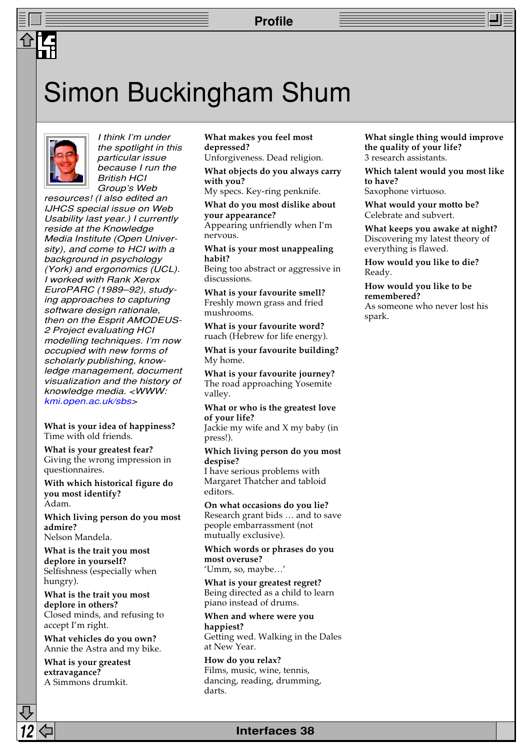## Simon Buckingham Shum



I think I'm under the spotlight in this particular issue because I run the British HCI Group's Web

resources! (I also edited an IJHCS special issue on Web Usability last year.) I currently reside at the Knowledge Media Institute (Open University), and come to HCI with a background in psychology (York) and ergonomics (UCL). I worked with Rank Xerox EuroPARC (1989–92), studying approaches to capturing software design rationale, then on the Esprit AMODEUS-2 Project evaluating HCI modelling techniques. I'm now occupied with new forms of scholarly publishing, knowledge management, document visualization and the history of knowledge media. <WWW: [kmi.open.ac.uk/sbs>](http://kmi.open.ac.uk/sbs/)

**What is your idea of happiness?** Time with old friends.

**What is your greatest fear?** Giving the wrong impression in questionnaires.

**With which historical figure do you most identify?** Adam.

**Which living person do you most admire?** Nelson Mandela.

**What is the trait you most deplore in yourself?** Selfishness (especially when hungry).

**What is the trait you most deplore in others?** Closed minds, and refusing to accept I'm right.

**What vehicles do you own?** Annie the Astra and my bike.

**What is your greatest extravagance?** A Simmons drumkit.

#### **What makes you feel most depressed?**

Unforgiveness. Dead religion.

**What objects do you always carry with you?**

My specs. Key-ring penknife.

**What do you most dislike about your appearance?**

Appearing unfriendly when I'm nervous.

**What is your most unappealing habit?**

Being too abstract or aggressive in discussions.

**What is your favourite smell?** Freshly mown grass and fried mushrooms.

**What is your favourite word?** ruach (Hebrew for life energy).

**What is your favourite building?** My home.

**What is your favourite journey?** The road approaching Yosemite valley.

**What or who is the greatest love of your life?**

Jackie my wife and X my baby (in press!).

**Which living person do you most despise?**

I have serious problems with Margaret Thatcher and tabloid editors.

**On what occasions do you lie?** Research grant bids … and to save people embarrassment (not mutually exclusive).

**Which words or phrases do you most overuse?** 'Umm, so, maybe…'

**What is your greatest regret?**

Being directed as a child to learn piano instead of drums.

**When and where were you happiest?** Getting wed. Walking in the Dales at New Year.

**12 Interfaces 38**

**How do you relax?** Films, music, wine, tennis, dancing, reading, drumming, darts.

**What single thing would improve the quality of your life?** 3 research assistants.

**Which talent would you most like to have?** Saxophone virtuoso.

**What would your motto be?** Celebrate and subvert.

**What keeps you awake at night?** Discovering my latest theory of everything is flawed.

**How would you like to die?** Ready.

**How would you like to be remembered?** As someone who never lost his spark.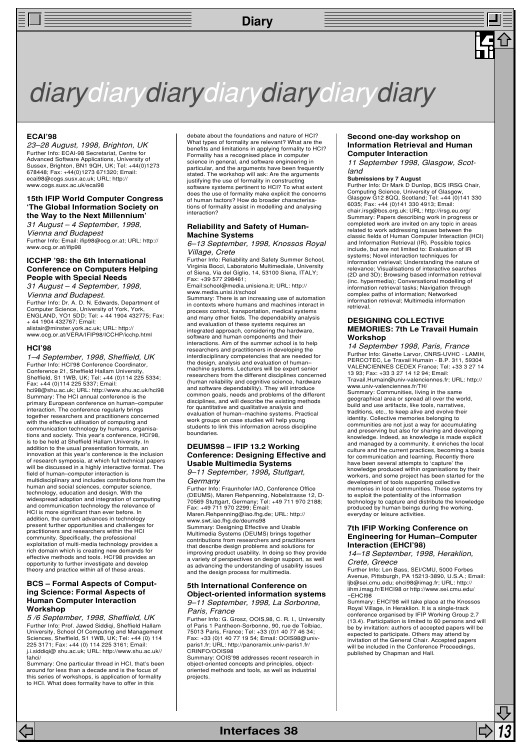

# diarydiarydiarydiarydiarydiarydiary

#### **ECAI'98**

23–28 August, 1998, Brighton, UK Further Info: ECAI-98 Secretariat, Centre for Advanced Software Applications, University of Sussex, Brighton, BN1 9QH, UK; Tel: +44(0)1273 678448; Fax: +44(0)1273 671320; Email: ecai98@cogs.susx.ac.uk; URL: http:// www.cogs.susx.ac.uk/ecai98

#### **15th IFIP World Computer Congress 'The Global Information Society on the Way to the Next Millennium'**

31 August – 4 September, 1998, Vienna and Budapest Further Info: Email: ifip98@ocg.or.at; URL: http:// www.ocg.or.at/ifip98

#### **ICCHP '98: the 6th International Conference on Computers Helping People with Special Needs**

31 August – 4 September, 1998, Vienna and Budapest. Further Info: Dr. A. D. N. Edwards, Department of Computer Science, University of York, York, ENGLAND, YO1 5DD; Tel: + 44 1904 432775; Fax: + 44 1904 432767; Email: alistair@minster.york.ac.uk; URL: http:// www.ocg.or.at/VERA/IFIP98/ICCHP/icchp.html

#### **HCI'98**

1–4 September, 1998, Sheffield, UK Further Info: HCI'98 Conference Coordinator, Conference 21, Sheffield Hallam University, Sheffield, S1 1WB, UK; Tel: +44 (0)114 225 5334; Fax: +44 (0)114 225 5337; Email: hci98@shu.ac.uk; URL: http://www.shu.ac.uk/hci98 Summary: The HCI annual conference is the primary European conference on human–computer interaction. The conference regularly brings together researchers and practitioners concerned with the effective utilisation of computing and communication technology by humans, organisa-tions and society. This year's conference, HCI'98, is to be held at Sheffield Hallam University. In addition to the usual presentation formats, an innovation at this year's conference is the inclusion of research symposia, at which full technical papers will be discussed in a highly interactive format. The field of human–computer interaction is multidisciplinary and includes contributions from the human and social sciences, computer science, technology, education and design. With the widespread adoption and integration of computing and communication technology the relevance of HCI is more significant than ever before. In addition, the current advances in technology present further opportunities and challenges for practitioners and researchers within the HCI community. Specifically, the professional exploitation of multi-media technology provides a rich domain which is creating new demands for effective methods and tools. HCI'98 provides an opportunity to further investigate and develop theory and practice within all of these areas.

#### **BCS – Formal Aspects of Computing Science: Formal Aspects of Human Computer Interaction Workshop**

5 /6 September, 1998, Sheffield, UK Further Info: Prof. Jawed Siddiqi, Sheffield Hallam University, School Of Computing and Management Sciences, Sheffield, S1 1WB, UK; Tel: +44 (0) 114 225 3171; Fax: +44 (0) 114 225 3161; Email: j.i.siddiqi@ shu.ac.uk; URL: http://www.shu.ac.uk// fahci/

Summary: One particular thread in HCI, that's been around for less than a decade and is the focus of this series of workshops, is application of formality to HCI. What does formality have to offer in this

debate about the foundations and nature of HCI? What types of formality are relevant? What are the benefits and limitations in applying formality to HCI? Formality has a recognised place in computer science in general, and software engineering in particular, and the arguments have been frequently stated. The workshop will ask: Are the arguments justifying the use of formality in constructing software systems pertinent to HCI? To what extent does the use of formality make explicit the concerns of human factors? How do broader characterisations of formality assist in modelling and analysing interaction?

#### **Reliability and Safety of Human-Machine Systems**

6–13 September, 1998, Knossos Royal Village, Crete

Further Info: Reliability and Safety Summer School, Virginia Bocci, Laboratorio Multimediale, University of Siena, Via del Giglio, 14, 53100 Siena, ITALY; Fax: +39 577 298461;

Email:school@media.unisiena.it; URL: http:// www.media.unisi.it/school

Summary: There is an increasing use of automation in contexts where humans and machines interact in process control, transportation, medical systems and many other fields. The dependability analysis and evaluation of these systems requires an integrated approach, considering the hardware, software and human components and their interactions. Aim of the summer school is to help researchers and practitioners in developing the interdisciplinary competencies that are needed for the design, analysis and evaluation of human– machine systems. Lecturers will be expert senior researchers from the different disciplines concerned (human reliability and cognitive science, hardware and software dependability). They will introduce common goals, needs and problems of the different disciplines, and will describe the existing methods for quantitative and qualitative analysis and evaluation of human–machine systems. Practical work groups on case studies will help young students to link this information across discipline boundaries.

#### **DEUMS98 – IFIP 13.2 Working Conference: Designing Effective and Usable Multimedia Systems**

9–11 September, 1998**,** Stuttgart, **Germany** 

Further Info: Fraunhofer IAO, Conference Office (DEUMS), Maren Rehpenning, Nobelstrasse 12, D-70569 Stuttgart, Germany; Tel: +49 711 970 2188; Fax: +49 711 970 2299; Email:

Maren.Rehpenning@iao.fhg.de; URL: http:// www.swt.iao.fhg.de/deums98 Summary: Designing Effective and Usable

Multimedia Systems (DEUMS) brings together contributions from researchers and practitioners that describe design problems and solutions for improving product usability. In doing so they provide a variety of perspectives on design support, as well as advancing the understanding of usability issues and the design process for multimedia.

#### **5th International Conference on Object-oriented information systems** 9–11 September, 1998, La Sorbonne, Paris, France

Further Info: G. Grosz, OOIS,98, C. R. I., University of Paris 1 Pantheon-Sorbonne, 90, rue de Tolbiac, 75013 Paris, France; Tel: +33 (0)1 40 77 46 34; Fax: +33 (0)1 40 77 19 54; Email: OOIS98@univparis1.fr; URL: http://panoramix.univ-paris1.fr/ CRINFO/OOIS98

Summary: OOIS'98 addresses recent research in object-oriented concepts and principles, object-oriented methods and tools, as well as industrial projects.

#### **Second one-day workshop on Information Retrieval and Human Computer Interaction**

11 September 1998, Glasgow, Scotland

**Submissions by 7 August** Further Info: Dr Mark D Dunlop, BCS IRSG Chair, Computing Science, University of Glasgow, Glasgow G12 8QQ, Scotland; Tel: +44 (0)141 330 6035; Fax: +44 (0)141 330 4913; Email: chair.irsg@bcs.org.uk; URL: http://irsg.eu.org/ Summary: Papers describing work in progress or completed work are invited on any topic in areas related to work addressing issues between the classic fields of Human Computer Interaction (HCI) and Information Retrieval (IR). Possible topics include, but are not limited to: Evaluation of IR systems; Novel interaction techniques for information retrieval; Understanding the nature of relevance; Visualisations of interactive searches (2D and 3D); Browsing based information retrieval (inc. hypermedia); Conversational modelling of information retrieval tasks; Navigation through complex paths of information; Networked information retrieval; Multimedia information retrieval.

#### **DESIGNING COLLECTIVE MEMORIES: 7th Le Travail Humain Workshop**

14 September 1998, Paris, France Further Info: Ginette Larvor, CNRS-UVHC - LAMIH, PERCOTEC, Le Travail Humain - B.P. 311, 59304 VALENCIENNES CEDEX France; Tel: +33 3 27 14 13 93; Fax: +33 3 27 14 12 94; Email: Travail.Humain@univ-valenciennes.fr; URL: http://

www.univ-valenciennes.fr/TH/ Summary: Communities, living in the same geographical area or spread all over the world, build and use artifacts, like tools, narratives, traditions, etc., to keep alive and evolve their identity. Collective memories belonging to communities are not just a way for accumulating and preserving but also for sharing and developing knowledge. Indeed, as knowledge is made explicit and managed by a community, it enriches the local culture and the current practices, becoming a basis for communication and learning. Recently there have been several attempts to 'capture' the knowledge produced within organisations by their workers, and some project has been started for the development of tools supporting collective memories in local communities. These systems try to exploit the potentiality of the information technology to capture and distribute the knowledge produced by human beings during the working, everyday or leisure activities.

#### **7th IFIP Working Conference on Engineering for Human–Computer Interaction (EHCI'98)**

#### 14–18 September, 1998, Heraklion, Crete, Greece

Further Info: Len Bass, SEI/CMU, 5000 Forbes Avenue, Pittsburgh, PA 15213-3890, U.S.A.; Email: ljb@sei.cmu.edu; ehci98@imag.fr; URL: http:// iihm.imag.fr/EHCI98 or http://www.sei.cmu.edu/  $~\sim$ EHCI98

Summary: EHCI'98 will take place at the Knossos Royal Village, in Heraklion. It is a single-track conference organised by IFIP Working Group 2.7 (13.4). Participation is limited to 60 persons and will be by invitation: authors of accepted papers will be expected to participate. Others may attend by invitation of the General Chair. Accepted papers will be included in the Conference Proceedings, published by Chapman and Hall.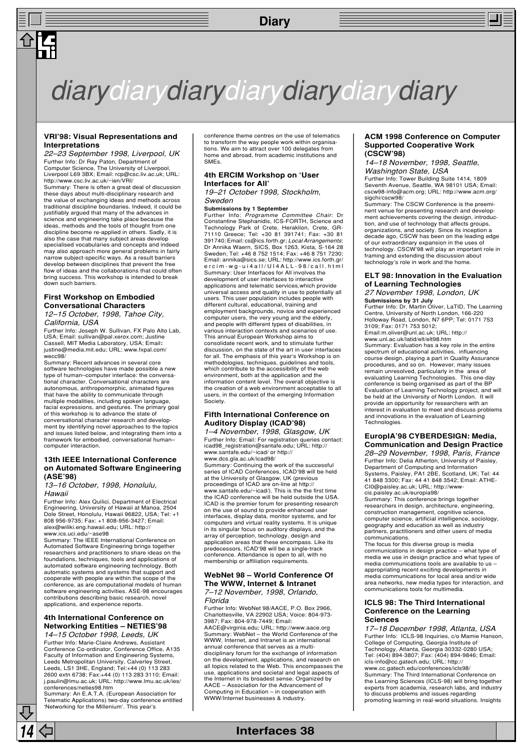# diarydiarydiarydiarydiarydiarydiary

#### **VRI'98: Visual Representations and Interpretations**

22–23 September 1998, Liverpool, UK Further Info: Dr Ray Paton, Department of Computer Science, The University of Liverpool, Liverpool L69 3BX; Email: rcp@csc.liv.ac.uk; URL: http://www.csc.liv.ac.uk/~ien/VRI/ Summary: There is often a great deal of discussion these days about multi-disciplinary research and the value of exchanging ideas and methods across traditional discipline boundaries. Indeed, it could be justifiably argued that many of the advances in science and engineering take place because the ideas, methods and the tools of thought from one discipline become re-applied in others. Sadly, it is also the case that many subject areas develop specialised vocabularies and concepts and indeed may also approach more general problems in fairly narrow subject-specific ways. As a result barriers develop between disciplines that prevent the free flow of ideas and the collaborations that could often bring success. This workshop is intended to break down such barriers.

#### **First Workshop on Embodied Conversational Characters** 12–15 October, 1998, Tahoe City,

California, USA

Further Info: Joseph W. Sullivan, FX Palo Alto Lab, USA; Email: sullivan@pal.xerox.com; Justine Cassell, MIT Media Laboratory, USA; Email**:** justine@media.mit.edu; URL: www.fxpal.com/ wecc98/

Summary: Recent advances in several core software technologies have made possible a new type of human–computer interface: the conversational character. Conversational characters are autonomous, anthropomorphic, animated figures that have the ability to communicate through multiple modalities, including spoken language, facial expressions, and gestures. The primary goal of this workshop is to advance the state of conversational character research and development by identifying novel approaches to the topics and issues listed below, and integrating them into a framework for embodied, conversational human– computer interaction.

#### **13th IEEE International Conference on Automated Software Engineering (ASE'98)**

13–16 October, 1998, Honolulu, Hawaii

Further Info: Alex Quilici, Department of Electrical Engineering, University of Hawaii at Manoa, 2504 Dole Street, Honolulu, Hawaii 96822, USA; Tel: +1 808 956-9735; Fax: +1 808-956-3427; Email: alex@wiliki.eng.hawaii.edu; URL: http:// www.ics.uci.edu/~ase98

Summary: The IEEE International Conference on Automated Software Engineering brings together researchers and practitioners to share ideas on the foundations, techniques, tools and applications of automated software engineering technology. Both automatic systems and systems that support and cooperate with people are within the scope of the conference, as are computational models of human software engineering activities. ASE-98 encourages contributions describing basic research, novel applications, and experience reports.

#### **4th International Conference on Networking Entities – NETIES'98** 14–15 October 1998, Leeds, UK

Further Info: Marie-Claire Andrews, Assistant Conference Co-ordinator, Conference Office, A135 Faculty of Information and Engineering Systems, Leeds Metropolitan University, Calverley Street,<br>Leeds, LS1 3HE, England; Tel:+44 (0) 113 283<br>2600 extn 6738; Fax:+44 (0) 113 283 3110; Email:<br>j.paulin@lmu.ac.uk; URL: http://www.lmu.ac.uk/ies/<br>conferences/neties98.htm

Summary: An E.A.T.A. (European Association for Telematic Applications) two-day conference entitled 'Networking for the Millenium'. This year's conference theme centres on the use of telematics to transform the way people work within organisations. We aim to attract over 100 delegates from home and abroad, from academic institutions and SMEs.

#### **4th ERCIM Workshop on 'User Interfaces for All'**

19–21 October 1998, Stockholm, Sweden

#### **Submissions by 1 September**

**Example Further Info: Programme Committee Chair: Dr** Constantine Stephanidis, ICS-FORTH, Science and Technology Park of Crete, Heraklion, Crete, GR-71110 Greece; Tel: +30 81 391741; Fax: +30 81<br>391740; Email: cs@ics.forth.gr; *Local Arrangements*: Dr Annika Waern, SICS, Box 1263, Kista, S-164 28 Sweden; Tel: +46 8 752 1514; Fax: +46 8 751 7230; Email: annika@sics.se; URL: http://www.ics.forth.gr/ ercim-wg-ui4all/UI4ALL-98/call.html Summary: User Interfaces for All involves the development of user interfaces to interactive applications and telematic services,which provide universal access and quality in use to potentially all users. This user population includes people with different cultural, educational, training and employment backgrounds, novice and experienced computer users, the very young and the elderly, and people with different types of disabilities, in various interaction contexts and scenarios of use. This annual European Workshop aims to consolidate recent work, and to stimulate further discussion, on the state of the art in user interfaces for all. The emphasis of this year's Workshop is on methodologies, techniques, guidelines and tools, which contribute to the accessibility of the web environment, both at the application and the information content level. The overall objective is the creation of a web environment acceptable to all users, in the context of the emerging Information Society.

#### **Fifth International Conference on Auditory Display (ICAD'98)**

1–4 November, 1998, Glasgow, UK Further Info: Email: For registration queries contact: icad98\_registration@santafe.edu; URL: http:// www.santafe.edu/~icad/ or http://

www.dcs.gla.ac.uk/icad98/ Summary: Continuing the work of the successful series of ICAD Conferences, ICAD'98 will be held at the University of Glasgow, UK (previous proceedings of ICAD are on-line at http:// www.santafe.edu/~icad/). This is the the first time the ICAD conference will be held outside the USA. ICAD is the premier forum for presenting research on the use of sound to provide enhanced user interfaces, display data, monitor systems, and for computers and virtual reality systems. It is unique in its singular focus on auditory displays, and the array of perception, technology, design and application areas that these encompass. Like its predecessors, ICAD'98 will be a single-track conference. Attendance is open to all, with no membership or affiliation requirements.

#### **WebNet 98 – World Conference Of The WWW, Internet & Intranet**

7–12 November, 1998, Orlando, Florida

Further Info: WebNet 98/AACE, P.O. Box 2966, Charlottesville, VA 22902 USA; Voice: 804-973- 3987; Fax: 804-978-7449; Email: AACE@virginia.edu; URL: http://www.aace.org Summary: WebNet – the World Conference of the WWW, Internet, and Intranet is an international annual conference that serves as a multidisciplinary forum for the exchange of information on the development, applications, and research on all topics related to the Web. This encompasses the use, applications and societal and legal aspects of the Internet in its broadest sense. Organized by AACE – Association for the Advancement of Computing in Education – in cooperation with WWW/Internet businesses & industry.

#### **ACM 1998 Conference on Computer Supported Cooperative Work (CSCW'98)**

14–18 November, 1998, Seattle, Washington State, USA

Further Info: Tower Building Suite 1414, 1809 Seventh Avenue, Seattle, WA 98101 USA; Email: cscw98-info@acm.org; URL: http://www.acm.org/ sigchi/cscw98/

Summary: The CSCW Conference is the preeminent venue for presenting research and develop-ment achievements covering the design, introduction, and use of technology that affects groups, organizations, and society. Since its inception a decade ago, CSCW has been on the leading edge of our extraordinary expansion in the uses of technology. CSCW'98 will play an important role in framing and extending the discussion about technology's role in work and the home.

#### **ELT 98: Innovation in the Evaluation of Learning Technologies**

#### 27 November 1998, London, UK **Submissions by 31 July**

Further Info: Dr. Martin Oliver, LaTID, The Learning Centre, University of North London, 166-220 Holloway Road, London, N7 6PP; Tel: 0171 753 3109; Fax: 0171 753 5012; Email:m.oliver@unl.ac.uk; URL: http://

www.unl.ac.uk/latid/elt/elt98.htm Summary: Evaluation has a key role in the entire spectrum of educational activities, influencing course design, playing a part in Quality Assurance procedures, and so on. However, many issues remain unresolved, particularly in the area of evaluating Learning Technologies. This one-day conference is being organised as part of the BP Evaluation of Learning Technology project, and will be held at the University of North London. It will provide an opportunity for researchers with an interest in evaluation to meet and discuss problems and innovations in the evaluation of Learning Technologies.

#### **EuropIA'98 CYBERDESIGN: Media, Communication and Design Practice**

28–29 November, 1998, Paris, France Further Info: Delia Atherton, University of Paisley, Department of Computing and Information Systems, Paisley, PA1 2BE, Scotland, UK; Tel: 44 41 848 3300; Fax: 44 41 848 3542; Email: ATHE-CI0@paisley.ac.uk; URL: http://www-cis.paisley.ac.uk/europia98/

Summary: This conference brings together researchers in design, architecture, engineering, construction management, cognitive science, computer science, artificial intelligence, sociology, geography and education as well as industry partners, practitioners and other users of media communications.

The focus for this diverse group is media communications in design practice – what type of media we use in design practice and what types of media communications tools are available to us – appropriating recent exciting developments in media communications for local area and/or wide area networks, new media types for interaction, and communications tools for multimedia.

#### **ICLS 98: The Third International Conference on the Learning Sciences**

17–18 December 1998, Atlanta, USA Further Info: ICLS-98 Inquiries, c/o Mamie Hanson, College of Computing, Georgia Institute of Technology, Atlanta, Georgia 30332-0280 USA; Tel: (404) 894-3807; Fax: (404) 894-9846; Email: icls-info@cc.gatech.edu; URL: http:// www.cc.gatech.edu/conferences/icls98/ Summary: The Third International Conference on the Learning Sciences (ICLS-98) will bring together experts from academia, research labs, and industry to discuss problems and issues regarding promoting learning in real-world situations. Insights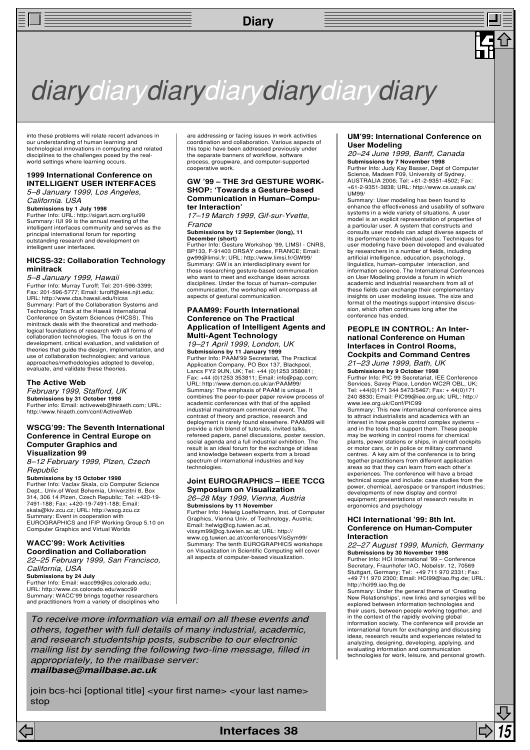

# diarydiarydiarydiarydiarydiarydiary

into these problems will relate recent advances in our understanding of human learning and technological innovations in computing and related disciplines to the challenges posed by the realworld settings where learning occurs.

#### **1999 International Conference on INTELLIGENT USER INTERFACES** 5–8 January 1999, Los Angeles,

California. USA

**Submissions by 1 July 1998** Further Info: URL: http://sigart.acm.org/iui99 Summary: IUI 99 is the annual meeting of the intelligent interfaces community and serves as the principal international forum for reporting outstanding research and development on intelligent user interfaces.

#### **HICSS-32: Collaboration Technology minitrack**

#### 5–8 January 1999, Hawaii

Further Info: Murray Turoff; Tel: 201-596-3399; Fax: 201-596-5777; Email: turoff@eies.njit.edu; URL: http://www.cba.hawaii.edu/hicss Summary: Part of the Collaboration Systems and Technology Track at the Hawaii International Conference on System Sciences (HICSS). This minitrack deals with the theoretical and methodological foundations of research with all forms of collaboration technologies. The focus is on the development, critical evaluation, and validation of theories that guide the design, implementation, and use of collaboration technologies; and various approaches/methodologies adopted to develop, evaluate, and validate these theories.

#### **The Active Web**

February 1999, Stafford, UK **Submissions by 31 October 1998** Further info: Email: activeweb@hiraeth.com; URL: http://www.hiraeth.com/conf/ActiveWeb

#### **WSCG'99: The Seventh International Conference in Central Europe on Computer Graphics and Visualization 99**

8–12 February 1999, Plzen, Czech **Republic** 

#### **Submissions by 15 October 1998**

Further Info: Vaclav Skala, c/o Computer Science Dept., Univ.of West Bohemia, Univerzitni 8, Box 314, 306 14 Plzen, Czech Republic; Tel: +420-19- 7491-188; Fax: +420-19-7491-188; Email: skala@kiv.zcu.cz; URL: http://wscg.zcu.cz Summary: Event in cooperation with EUROGRAPHICS and IFIP Working Group 5.10 on Computer Graphics and Virtual Worlds

## **WACC'99: Work Activities**

**Coordination and Collaboration** 22–25 February 1999, San Francisco, California, USA **Submissions by 24 July** Further Info: Email: wacc99@cs.colorado.edu; URL: http://www.cs.colorado.edu/wacc99 Summary: WACC'99 brings together researchers and practitioners from a variety of disciplines who

are addressing or facing issues in work activities coordination and collaboration. Various aspects of this topic have been addressed previously under the separate banners of workflow, software process, groupware, and computer-supported cooperative work.

#### **GW '99 – THE 3rd GESTURE WORK-SHOP: 'Towards a Gesture-based Communication in Human–Computer Interaction'**

#### 17–19 March 1999, Gif-sur-Yvette, France

**Submissions by 12 September (long), 11 December (short)**

Further Info: Gesture Workshop '99, LIMSI - CNRS, BP133, F-91403 ORSAY cedex, FRANCE; Email: gw99@limsi.fr; URL: http://www.limsi.fr/GW99/ Summary: GW is an interdisciplinary event for those researching gesture-based communication who want to meet and exchange ideas across disciplines. Under the focus of human–computer communication, the workshop will encompass all aspects of gestural communication.

#### **PAAM99: Fourth International Conference on The Practical Application of Intelligent Agents and Multi-Agent Technology**

19–21 April 1999, London, UK **Submissions by 11 January 1999** Further Info: PAAM'99 Secretariat, The Practical Application Company, PO Box 137, Blackpool, Lancs FY2 9UN, UK; Tel: +44 (0)1253 358081; Fax: +44 (0)1253 353811; Email: info@pap.com; URL: http://www.demon.co.uk/ar/PAAM99/ Summary: The emphasis of PAAM is unique. It combines the peer-to-peer paper review process of academic conferences with that of the applied industrial mainstream commercial event. The contrast of theory and practice, research and deployment is rarely found elsewhere. PAAM99 will provide a rich blend of tutorials, invited talks, refereed papers, panel discussions, poster session, social agenda and a full industrial exhibition. The result is an ideal forum for the exchange of ideas and knowledge between experts from a broad spectrum of international industries and key technologies.

#### **Joint EUROGRAPHICS – IEEE TCCG Symposium on Visualization**

#### 26–28 May 1999, Vienna, Austria **Submissions by 11 November**

Further Info: Helwig Loeffelmann, Inst. of Computer Graphics, Vienna Univ. of Technology, Austria; Email: helwig@cg.tuwien.ac.at,

vissym99@cg.tuwien.ac.at; URL: http:// www.cg.tuwien.ac.at/conferences/VisSym99/ Summary: The tenth EUROGRAPHICS workshops on Visualization in Scientific Computing will cover all aspects of computer-based visualization.

#### **UM'99: International Conference on User Modeling**

20–24 June 1999, Banff, Canada **Submissions by 7 November 1998**

Further Info: Judy Kay Basser, Dept of Computer Science, Madsen F09, University of Sydney, AUSTRALIA 2006; Tel: +61-2-9351-4502; Fax: +61-2-9351-3838; URL: http://www.cs.usask.ca/ UM99/

Summary: User modeling has been found to enhance the effectiveness and usability of software systems in a wide variety of situations. A user model is an explicit representation of properties of a particular user. A system that constructs and consults user models can adapt diverse aspects of its performance to individual users. Techniques for user modeling have been developed and evaluated by researchers in a number of fields, including artificial intelligence, education, psychology, linguistics, human–computer interaction, and information science. The International Conferences on User Modeling provide a forum in which academic and industrial researchers from all of these fields can exchange their complementary insights on user modeling issues. The size and format of the meetings support intensive discussion, which often continues long after the conference has ended.

#### **PEOPLE IN CONTROL: An International Conference on Human Interfaces in Control Rooms, Cockpits and Command Centres** 21–23 June 1999, Bath, UK

**Submissions by 9 October 1998** Further Info: PIC 99 Secretariat, IEE Conference Services, Savoy Place, London WC2R OBL, UK; Tel: +44(0)171 344 5473/5467; Fax: + 44(0)171

240 8830; Email: PIC99@iee.org.uk; URL: http:// www.iee.org.uk/Conf/PIC99 Summary: This new international conference aims to attract industrialists and academics with an interest in how people control complex systems – and in the tools that support them. These people may be working in control rooms for chemical plants, power stations or ships, in aircraft cockpits or motor cars, or in police or military command centres. A key aim of the conference is to bring together practitioners from different application areas so that they can learn from each other's experiences. The conference will have a broad technical scope and include: case studies from the power, chemical, aerospace or transport industries; developments of new display and control equipment; presentations of research results in ergonomics and psychology

#### **HCI International '99: 8th Int. Conference on Human-Computer Interaction**

22–27 August 1999, Munich, Germany **Submissions by 30 November 1998**

Further Info: HCI International '99 – Conference Secretary, Fraunhofer IAO, Nobelstr. 12, 70569 Stuttgart, Germany; Tel: +49 711 970 2331; Fax: +49 711 970 2300; Email: HCI99@iao.fhg.de; URL: http://hci99.iao.fhg.de

Summary: Under the general theme of 'Creating New Relationships', new links and synergies will be explored between information technologies and their users, between people working together, and in the context of the rapidly evolving global information society. The conference will provide an international forum for exchanging and discussing ideas, research results and experiences related to analyzing, designing, developing, applying, and evaluating information and communication technologies for work, leisure, and personal growth.

To receive more information via email on all these events and others, together with full details of many industrial, academic, and research studentship posts, subscribe to our electronic mailing list by sending the following two-line message, filled in appropriately, to the mailbase server: **mailbase@mailbase.ac.uk**

join bcs-hci [optional title] <your first name> <your last name> stop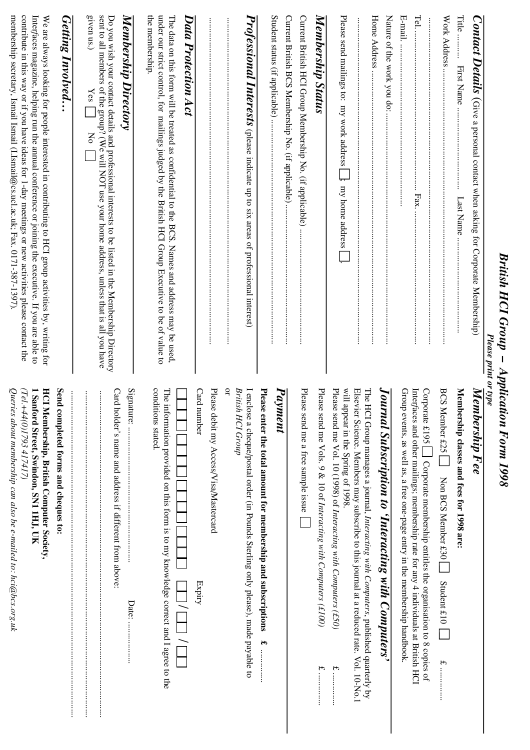| $\sim$ – $\mu$ поло топу изди $\sigma$<br>$\mathbf{n}$ : $\mathbf{r}$<br>Į |
|----------------------------------------------------------------------------|
|                                                                            |
| pplication Form 1998                                                       |
|                                                                            |
|                                                                            |
|                                                                            |

| Please print or type                                                                                                                                                                                                                                                                                                                                                                                 |                                                                                                                                                                                                          |
|------------------------------------------------------------------------------------------------------------------------------------------------------------------------------------------------------------------------------------------------------------------------------------------------------------------------------------------------------------------------------------------------------|----------------------------------------------------------------------------------------------------------------------------------------------------------------------------------------------------------|
| $Content \, Details$ (Give a personal contact when asking for Corporate Membership)                                                                                                                                                                                                                                                                                                                  | Membership Fee                                                                                                                                                                                           |
| Title<br>First Name<br>Last Name                                                                                                                                                                                                                                                                                                                                                                     | Membership classes and fees for 1998 are:                                                                                                                                                                |
| Work Address                                                                                                                                                                                                                                                                                                                                                                                         | BCS Member £25<br>Non BCS Member £30<br>Student $£10$<br>$\widetilde{\mathbf{f}}$                                                                                                                        |
| $\text{Tel}$<br>Fax.                                                                                                                                                                                                                                                                                                                                                                                 | Corporate £195<br>Interfaces and other mailings; membership rate for any 4 individuals at British HCI<br>Corporate membership entitles the organisation to 8 copies of                                   |
| E-mail.<br>                                                                                                                                                                                                                                                                                                                                                                                          | Group events, as well as, a free one-page entry in the membership handbook.                                                                                                                              |
| Nature of the work you do:                                                                                                                                                                                                                                                                                                                                                                           | Journal Subscription to 'Interacting with Computers'                                                                                                                                                     |
| Home Address                                                                                                                                                                                                                                                                                                                                                                                         | The H<br>CI Group manages a journal, Interacting with Computers, published quarterly by                                                                                                                  |
| Please send mailings to: my work address<br>j, my home address                                                                                                                                                                                                                                                                                                                                       | Please send me Vol. 10 (1998) of Interacting with Computers (£50)<br>will appear in the Spring of 1998.<br>Elsevier Science. Members may subscribe to this journal at a reduced rate. Vol. 10-No.1<br>ᡟᡃ |
| Membership Status                                                                                                                                                                                                                                                                                                                                                                                    | Please<br>send me Vols. 9 & 10 of Interacting with Computers (£100)                                                                                                                                      |
| Current British HCI Group Membership No. (if applicable)                                                                                                                                                                                                                                                                                                                                             | Please send me a free sample issue                                                                                                                                                                       |
| Current British BCS Membership No. (if applicable)                                                                                                                                                                                                                                                                                                                                                   | Pay<br>ment                                                                                                                                                                                              |
|                                                                                                                                                                                                                                                                                                                                                                                                      | Please enter the total amount for membership and subscriptions<br>ĉ۳                                                                                                                                     |
| <b>Professional Interests</b> (please indicate up to six areas of professional interest)                                                                                                                                                                                                                                                                                                             | q<br>British HCI Group<br>I enclose a cheque/postal order (in Pounds Sterling only please), made payable to                                                                                              |
|                                                                                                                                                                                                                                                                                                                                                                                                      | Card number<br>Please debit my Access/Visa/Mastercard<br>Expiry                                                                                                                                          |
| $Data$ Protection $Act$                                                                                                                                                                                                                                                                                                                                                                              |                                                                                                                                                                                                          |
| the membership.<br>under our strict control, for mailings judged by the British HCI Group Executive to be of value to<br>The data on this form will be used and address and address and address may be used.                                                                                                                                                                                         | conditions stated.<br>The information provided on this form is to my knowledge correct and I agree to the                                                                                                |
| Membership Directory                                                                                                                                                                                                                                                                                                                                                                                 | Signature:<br>Date:                                                                                                                                                                                      |
| sent to all members of the group? (We will NOT use your home address, unless that is all you have<br>given us.)<br>Do you wish your contact details and professional interests to be listed in the Membership Directory<br>Yes<br><b>No</b>                                                                                                                                                          | Card holder's name and address if different from above:<br>$\vdots$<br>İ                                                                                                                                 |
| <b>Getting Involved</b>                                                                                                                                                                                                                                                                                                                                                                              | Send<br>completed forms and cheques to:                                                                                                                                                                  |
| contribute in this way or if you have ideas for 1-day meetings or new activities please contact the<br>membership secretary, Ismail Ismail (LIsmail@cs.ucl.ac.uk; Fax. 0171-387-1397).<br>Interfaces magazine, helping run the annual conference or joining the executive. If you are able to<br>We are always looking for people interested in contributing to HCI group activities by, writing for | Queries about membership can also be e-mailed to: hci@bcs.org.uk<br><b>HCI Membership, British Computer Society,</b><br>(Tel.+44(0)1793 417417)<br>1 Sand<br>ford Street, Swindon, SN1 1HJ, UK           |
|                                                                                                                                                                                                                                                                                                                                                                                                      |                                                                                                                                                                                                          |

**16 Interfaces 38**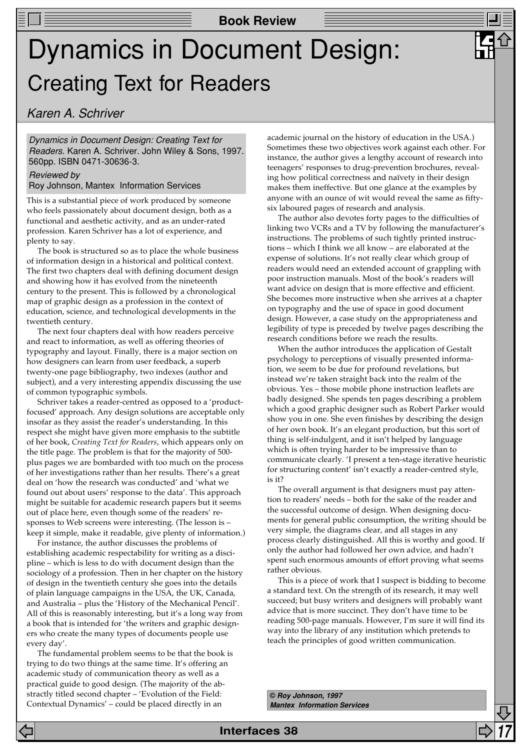# Dynamics in Document Design: Creating Text for Readers

Karen A. Schriver

Dynamics in Document Design: Creating Text for Readers. Karen A. Schriver. John Wiley & Sons, 1997. 560pp. ISBN 0471-30636-3.

### Reviewed by

Roy Johnson, Mantex Information Services

This is a substantial piece of work produced by someone who feels passionately about document design, both as a functional and aesthetic activity, and as an under-rated profession. Karen Schriver has a lot of experience, and plenty to say.

The book is structured so as to place the whole business of information design in a historical and political context. The first two chapters deal with defining document design and showing how it has evolved from the nineteenth century to the present. This is followed by a chronological map of graphic design as a profession in the context of education, science, and technological developments in the twentieth century.

The next four chapters deal with how readers perceive and react to information, as well as offering theories of typography and layout. Finally, there is a major section on how designers can learn from user feedback, a superb twenty-one page bibliography, two indexes (author and subject), and a very interesting appendix discussing the use of common typographic symbols.

Schriver takes a reader-centred as opposed to a 'productfocused' approach. Any design solutions are acceptable only insofar as they assist the reader's understanding. In this respect she might have given more emphasis to the subtitle of her book, *Creating Text for Readers*, which appears only on the title page. The problem is that for the majority of 500 plus pages we are bombarded with too much on the process of her investigations rather than her results. There's a great deal on 'how the research was conducted' and 'what we found out about users' response to the data'. This approach might be suitable for academic research papers but it seems out of place here, even though some of the readers' responses to Web screens were interesting. (The lesson is – keep it simple, make it readable, give plenty of information.)

For instance, the author discusses the problems of establishing academic respectability for writing as a discipline – which is less to do with document design than the sociology of a profession. Then in her chapter on the history of design in the twentieth century she goes into the details of plain language campaigns in the USA, the UK, Canada, and Australia – plus the 'History of the Mechanical Pencil'. All of this is reasonably interesting, but it's a long way from a book that is intended for 'the writers and graphic designers who create the many types of documents people use every day'.

The fundamental problem seems to be that the book is trying to do two things at the same time. It's offering an academic study of communication theory as well as a practical guide to good design. (The majority of the abstractly titled second chapter – 'Evolution of the Field: Contextual Dynamics' – could be placed directly in an

academic journal on the history of education in the USA.) Sometimes these two objectives work against each other. For instance, the author gives a lengthy account of research into teenagers' responses to drug-prevention brochures, revealing how political correctness and naïvety in their design makes them ineffective. But one glance at the examples by anyone with an ounce of wit would reveal the same as fiftysix laboured pages of research and analysis.

The author also devotes forty pages to the difficulties of linking two VCRs and a TV by following the manufacturer's instructions. The problems of such tightly printed instructions – which I think we all know – are elaborated at the expense of solutions. It's not really clear which group of readers would need an extended account of grappling with poor instruction manuals. Most of the book's readers will want advice on design that is more effective and efficient. She becomes more instructive when she arrives at a chapter on typography and the use of space in good document design. However, a case study on the appropriateness and legibility of type is preceded by twelve pages describing the research conditions before we reach the results.

When the author introduces the application of Gestalt psychology to perceptions of visually presented information, we seem to be due for profound revelations, but instead we're taken straight back into the realm of the obvious. Yes – those mobile phone instruction leaflets are badly designed. She spends ten pages describing a problem which a good graphic designer such as Robert Parker would show you in one. She even finishes by describing the design of her own book. It's an elegant production, but this sort of thing is self-indulgent, and it isn't helped by language which is often trying harder to be impressive than to communicate clearly. 'I present a ten-stage iterative heuristic for structuring content' isn't exactly a reader-centred style, is it?

The overall argument is that designers must pay attention to readers' needs – both for the sake of the reader and the successful outcome of design. When designing documents for general public consumption, the writing should be very simple, the diagrams clear, and all stages in any process clearly distinguished. All this is worthy and good. If only the author had followed her own advice, and hadn't spent such enormous amounts of effort proving what seems rather obvious.

This is a piece of work that I suspect is bidding to become a standard text. On the strength of its research, it may well succeed; but busy writers and designers will probably want advice that is more succinct. They don't have time to be reading 500-page manuals. However, I'm sure it will find its way into the library of any institution which pretends to teach the principles of good written communication.

**© Roy Johnson, 1997 Mantex Information Services**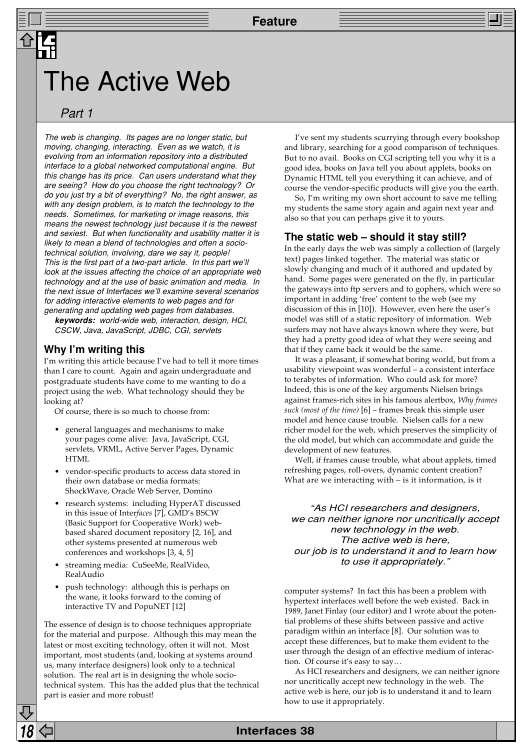## The Active Web

### Part 1

The web is changing. Its pages are no longer static, but moving, changing, interacting. Even as we watch, it is evolving from an information repository into a distributed interface to a global networked computational engine. But this change has its price. Can users understand what they are seeing? How do you choose the right technology? Or do you just try a bit of everything? No, the right answer, as with any design problem, is to match the technology to the needs. Sometimes, for marketing or image reasons, this means the newest technology just because it is the newest and sexiest. But when functionality and usability matter it is likely to mean a blend of technologies and often a sociotechnical solution, involving, dare we say it, people! This is the first part of a two-part article. In this part we'll look at the issues affecting the choice of an appropriate web technology and at the use of basic animation and media. In the next issue of Interfaces we'll examine several scenarios for adding interactive elements to web pages and for generating and updating web pages from databases.

**keywords:** world-wide web, interaction, design, HCI, CSCW, Java, JavaScript, JDBC, CGI, servlets

### **Why I'm writing this**

I'm writing this article because I've had to tell it more times than I care to count. Again and again undergraduate and postgraduate students have come to me wanting to do a project using the web. What technology should they be looking at?

Of course, there is so much to choose from:

- general languages and mechanisms to make your pages come alive: Java, JavaScript, CGI, servlets, VRML, Active Server Pages, Dynamic HTML
- vendor-specific products to access data stored in their own database or media formats: ShockWave, Oracle Web Server, Domino
- research systems: including HyperAT discussed in this issue of Inter*faces* [7], GMD's BSCW (Basic Support for Cooperative Work) webbased shared document repository [2, 16], and other systems presented at numerous web conferences and workshops [3, 4, 5]
- streaming media: CuSeeMe, RealVideo, RealAudio
- push technology: although this is perhaps on the wane, it looks forward to the coming of interactive TV and PopuNET [12]

The essence of design is to choose techniques appropriate for the material and purpose. Although this may mean the latest or most exciting technology, often it will not. Most important, most students (and, looking at systems around us, many interface designers) look only to a technical solution. The real art is in designing the whole sociotechnical system. This has the added plus that the technical part is easier and more robust!

I've sent my students scurrying through every bookshop and library, searching for a good comparison of techniques. But to no avail. Books on CGI scripting tell you why it is a good idea, books on Java tell you about applets, books on Dynamic HTML tell you everything it can achieve, and of course the vendor-specific products will give you the earth.

So, I'm writing my own short account to save me telling my students the same story again and again next year and also so that you can perhaps give it to yours.

#### **The static web – should it stay still?**

In the early days the web was simply a collection of (largely text) pages linked together. The material was static or slowly changing and much of it authored and updated by hand. Some pages were generated on the fly, in particular the gateways into ftp servers and to gophers, which were so important in adding 'free' content to the web (see my discussion of this in [10]). However, even here the user's model was still of a static repository of information. Web surfers may not have always known where they were, but they had a pretty good idea of what they were seeing and that if they came back it would be the same.

It was a pleasant, if somewhat boring world, but from a usability viewpoint was wonderful – a consistent interface to terabytes of information. Who could ask for more? Indeed, this is one of the key arguments Nielsen brings against frames-rich sites in his famous alertbox, *Why frames suck (most of the time)* [6] – frames break this simple user model and hence cause trouble. Nielsen calls for a new richer model for the web, which preserves the simplicity of the old model, but which can accommodate and guide the development of new features.

Well, if frames cause trouble, what about applets, timed refreshing pages, roll-overs, dynamic content creation? What are we interacting with – is it information, is it

#### "As HCI researchers and designers, we can neither ignore nor uncritically accept new technology in the web. The active web is here. our job is to understand it and to learn how to use it appropriately."

computer systems? In fact this has been a problem with hypertext interfaces well before the web existed. Back in 1989, Janet Finlay (our editor) and I wrote about the potential problems of these shifts between passive and active paradigm within an interface [8]. Our solution was to accept these differences, but to make them evident to the user through the design of an effective medium of interaction. Of course it's easy to say…

As HCI researchers and designers, we can neither ignore nor uncritically accept new technology in the web. The active web is here, our job is to understand it and to learn how to use it appropriately.

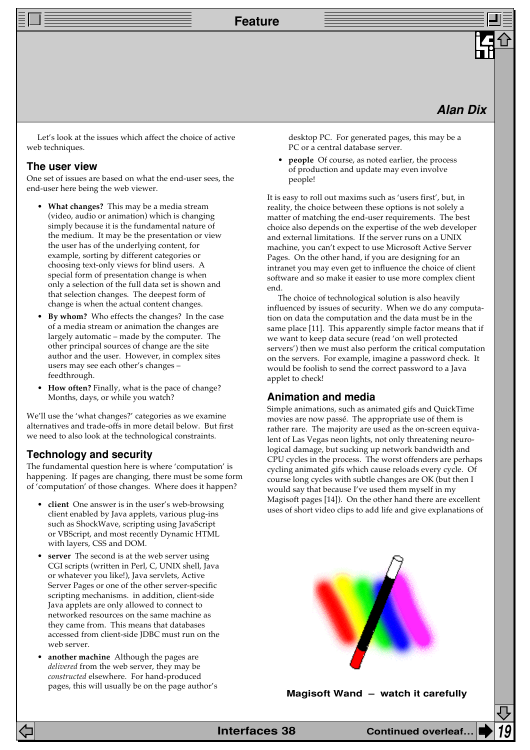**Feature**

## **Alan Dix**

Let's look at the issues which affect the choice of active web techniques.

### **The user view**

One set of issues are based on what the end-user sees, the end-user here being the web viewer.

- **What changes?** This may be a media stream (video, audio or animation) which is changing simply because it is the fundamental nature of the medium. It may be the presentation or view the user has of the underlying content, for example, sorting by different categories or choosing text-only views for blind users. A special form of presentation change is when only a selection of the full data set is shown and that selection changes. The deepest form of change is when the actual content changes.
- **By whom?** Who effects the changes? In the case of a media stream or animation the changes are largely automatic – made by the computer. The other principal sources of change are the site author and the user. However, in complex sites users may see each other's changes – feedthrough.
- **How often?** Finally, what is the pace of change? Months, days, or while you watch?

We'll use the 'what changes?' categories as we examine alternatives and trade-offs in more detail below. But first we need to also look at the technological constraints.

#### **Technology and security**

The fundamental question here is where 'computation' is happening. If pages are changing, there must be some form of 'computation' of those changes. Where does it happen?

- **client** One answer is in the user's web-browsing client enabled by Java applets, various plug-ins such as ShockWave, scripting using JavaScript or VBScript, and most recently Dynamic HTML with layers, CSS and DOM.
- **server** The second is at the web server using CGI scripts (written in Perl, C, UNIX shell, Java or whatever you like!), Java servlets, Active Server Pages or one of the other server-specific scripting mechanisms. in addition, client-side Java applets are only allowed to connect to networked resources on the same machine as they came from. This means that databases accessed from client-side JDBC must run on the web server.
- **another machine** Although the pages are *delivered* from the web server, they may be *constructed* elsewhere. For hand-produced pages, this will usually be on the page author's

desktop PC. For generated pages, this may be a PC or a central database server.

• **people** Of course, as noted earlier, the process of production and update may even involve people!

It is easy to roll out maxims such as 'users first', but, in reality, the choice between these options is not solely a matter of matching the end-user requirements. The best choice also depends on the expertise of the web developer and external limitations. If the server runs on a UNIX machine, you can't expect to use Microsoft Active Server Pages. On the other hand, if you are designing for an intranet you may even get to influence the choice of client software and so make it easier to use more complex client end.

The choice of technological solution is also heavily influenced by issues of security. When we do any computation on data the computation and the data must be in the same place [11]. This apparently simple factor means that if we want to keep data secure (read 'on well protected servers') then we must also perform the critical computation on the servers. For example, imagine a password check. It would be foolish to send the correct password to a Java applet to check!

### **Animation and media**

Simple animations, such as animated gifs and QuickTime movies are now passé. The appropriate use of them is rather rare. The majority are used as the on-screen equivalent of Las Vegas neon lights, not only threatening neurological damage, but sucking up network bandwidth and CPU cycles in the process. The worst offenders are perhaps cycling animated gifs which cause reloads every cycle. Of course long cycles with subtle changes are OK (but then I would say that because I've used them myself in my Magisoft pages [14]). On the other hand there are excellent uses of short video clips to add life and give explanations of



**Magisoft Wand – watch it carefully**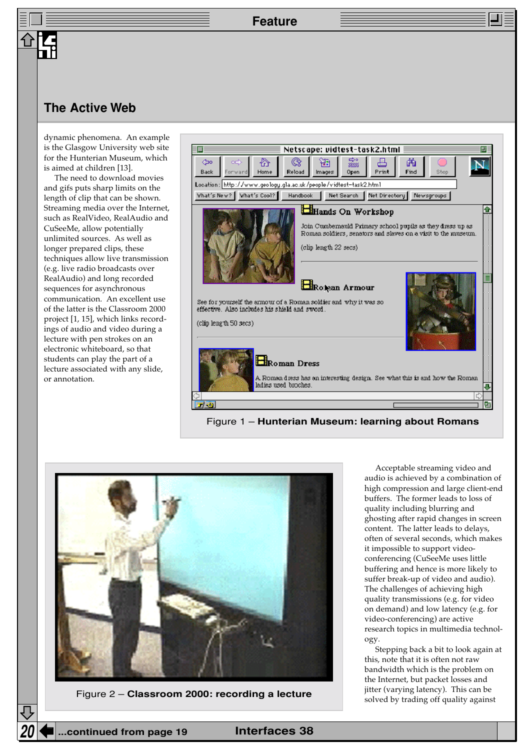## **The Active Web**

dynamic phenomena. An example is the Glasgow University web site for the Hunterian Museum, which is aimed at children [13].

The need to download movies and gifs puts sharp limits on the length of clip that can be shown. Streaming media over the Internet, such as RealVideo, RealAudio and CuSeeMe, allow potentially unlimited sources. As well as longer prepared clips, these techniques allow live transmission (e.g. live radio broadcasts over RealAudio) and long recorded sequences for asynchronous communication. An excellent use of the latter is the Classroom 2000 project [1, 15], which links recordings of audio and video during a lecture with pen strokes on an electronic whiteboard, so that students can play the part of a lecture associated with any slide, or annotation.



Figure 1 – **Hunterian Museum: learning about Romans**



Figure 2 – **Classroom 2000: recording a lecture**

Acceptable streaming video and audio is achieved by a combination of high compression and large client-end buffers. The former leads to loss of quality including blurring and ghosting after rapid changes in screen content. The latter leads to delays, often of several seconds, which makes it impossible to support videoconferencing (CuSeeMe uses little buffering and hence is more likely to suffer break-up of video and audio). The challenges of achieving high quality transmissions (e.g. for video on demand) and low latency (e.g. for video-conferencing) are active research topics in multimedia technology.

Stepping back a bit to look again at this, note that it is often not raw bandwidth which is the problem on the Internet, but packet losses and jitter (varying latency). This can be solved by trading off quality against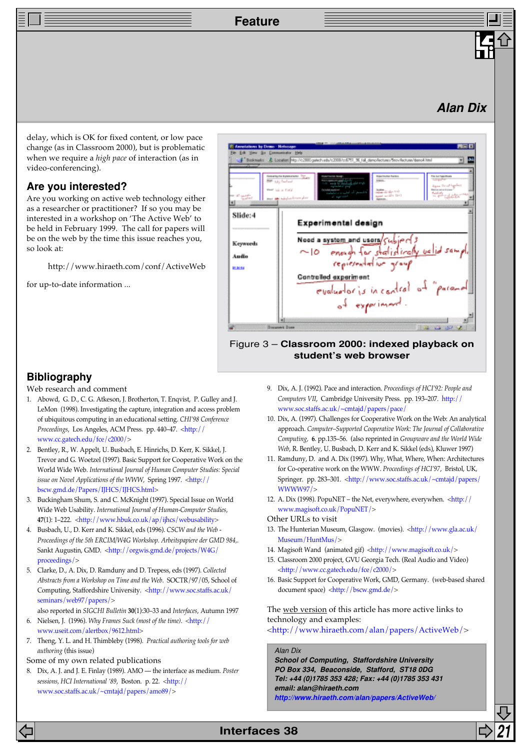**Feature**

## **Alan Dix**

delay, which is OK for fixed content, or low pace change (as in Classroom 2000), but is problematic when we require a *high pace* of interaction (as in video-conferencing).

### **Are you interested?**

Are you working on active web technology either as a researcher or practitioner? If so you may be interested in a workshop on 'The Active Web' to be held in February 1999. The call for papers will be on the web by the time this issue reaches you, so look at:

http://www.hiraeth.com/conf/ActiveWeb

for up-to-date information ...



Figure 3 – **Classroom 2000: indexed playback on student's web browser**

## **Bibliography**

#### Web research and comment

- 1. Abowd, G. D., C. G. Atkeson, J. Brotherton, T. Enqvist, P. Gulley and J. LeMon (1998). Investigating the capture, integration and access problem of ubiquitous computing in an educational setting. *CHI'98 Conference* Proceedings, Los Angeles, ACM Press. pp. 440-47. <http:// [www.cc.gatech.edu/fce/c2000/>](http://www.cc.gatech.edu/fce/c2000/)
- 2. Bentley, R., W. Appelt, U. Busbach, E. Hinrichs, D. Kerr, K. Sikkel, J. Trevor and G. Woetzel (1997). Basic Support for Cooperative Work on the World Wide Web. *International Journal of Human Computer Studies: Special issue on Novel Applications of the WWW,* Spring 1997. <http:// [bscw.gmd.de/Papers/IJHCS/IJHCS.html>](http://bscw.gmd.de/Papers/IJHCS/IJHCS.html)
- 3. Buckingham Shum, S. and C. McKnight (1997). Special Issue on World Wide Web Usability. *International Journal of Human-Computer Studies,* **47**(1): 1–222. [<http://www.hbuk.co.uk/ap/ijhcs/webusability>](http://www.hbuk.co.uk/ap/ijhcs/webusability/)
- 4. Busbach, U., D. Kerr and K. Sikkel, eds (1996). *CSCW and the Web - Proceedings of the 5th ERCIM/W4G Workshop. Arbeitspapiere der GMD 984,*. Sankt Augustin, [GMD. <http://orgwis.gmd.de/projects/W4G/](http://orgwis.gmd.de/projects/W4G/) proceedings/>
- 5. Clarke, D., A. Dix, D. Ramduny and D. Trepess, eds (1997). *Collected Abstracts from a Workshop on Time and the Web*. SOCTR/97/05, School of Computing, Staffordshire [University. <http://www.soc.staffs.ac.uk/](http://www.soc.staffs.ac.uk/seminars/web97/papers/) seminars/web97/papers/>
- also reported in *SIGCHI Bulletin* **30**(1):30–33 and *Interfaces*, Autumn 1997 6. Nielsen, J. (1996). *Why Frames Suck (most of the time)*. <http://
- [www.useit.com/alertbox/9612.html>](http://www.useit.com/alertbox/9612.html)
- 7. Theng, Y. L. and H. Thimbleby (1998). *Practical authoring tools for web authoring* (this issue)

#### Some of my own related publications

8. Dix, A. J. and J. E. Finlay (1989). AMO — the interface as medium. *Poster sessions, HCI International '89*, Boston. p. 22. <http:// [www.soc.staffs.ac.uk/~cmtajd/papers/amo89/>](http://www.hcibook.com/alan/papers/amo89/)

- 9. Dix, A. J. (1992). Pace and interaction. *Proceedings of HCI'92: People and Computers VII*, Cambridge University Press. pp. 193–207. http:// [www.soc.staffs.ac.uk/~cmtajd/papers/pace/](http://www.hcibook.com/alan/papers/pace/)
- 10. Dix, A. (1997). Challenges for Cooperative Work on the Web: An analytical approach. *Computer–Supported Cooperative Work: The Journal of Collaborative Computing,* **6**. pp.135–56. (also reprinted in *Groupware and the World Wide Web*, R. Bentley, U. Busbach, D. Kerr and K. Sikkel (eds), Kluwer 1997)
- 11. Ramduny, D. and A. Dix (1997). Why, What, Where, When: Architectures for Co-operative work on the WWW. *Proceedings of HCI'97*, Bristol, UK, Springer. pp. [283–301. <http://www.soc.staffs.ac.uk/~cmtajd/papers/](http://www.hcibook.com/alan/papers/WWWW97/) WWWW97/>
- 12. A. Dix (1998). PopuNET the Net, everywhere, everywhen. <http:// [www.magisoft.co.uk/PopuNET/>](http://www.hiraeth.com/magisoft/PopuNET/PopuNET.html)

#### Other URLs to visit

- 13. The Hunterian Museum, [Glasgow. \(movies\). <http://www.gla.ac.uk/](http://www.gla.ac.uk/Museum/HuntMus/) Museum/HuntMus/>
- 14. Magisoft Wand (animated gif) [<http://www.magisoft.co.uk/>](http://www.hiraeth.com/magisoft/)
- 15. Classroom 2000 project, GVU Georgia Tech. (Real Audio and Video) [<http://www.cc.gatech.edu/fce/c2000/>](http://www.cc.gatech.edu/fce/c2000/)
- 16. Basic Support for Cooperative Work, GMD, Germany. (web-based shared document space) [<http://bscw.gmd.de/>](http://bscw.gmd.de/)

The web version of this article has more active links to technology and examples:

<<http://www.hiraeth.com/alan/papers/ActiveWeb/>>

#### Alan Dix

**School of Computing, Staffordshire University PO Box 334, Beaconside, Stafford, ST18 0DG Tel: +44 (0)1785 353 428; Fax: +44 (0)1785 353 431 email: alan@hiraeth.com <http://www.hiraeth.com/alan/papers/ActiveWeb/>**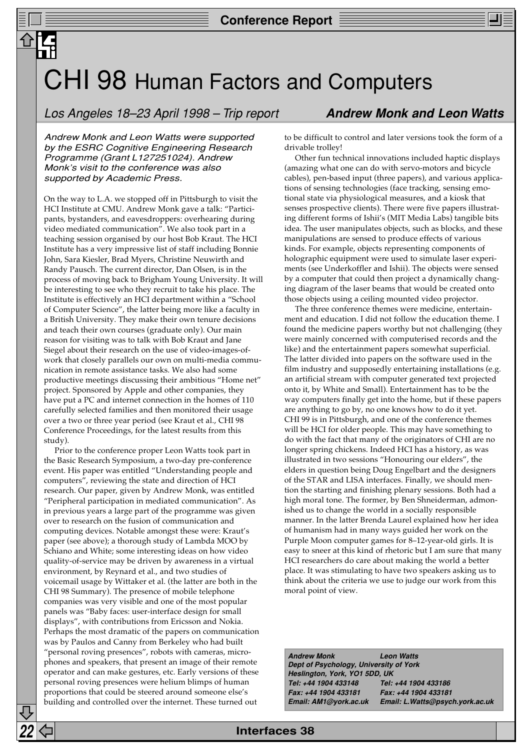**Conference Report**

## CHI 98 Human Factors and Computers

Los Angeles 18–23 April 1998 – Trip report

Andrew Monk and Leon Watts were supported by the ESRC Cognitive Engineering Research Programme (Grant L127251024). Andrew Monk's visit to the conference was also supported by Academic Press.

On the way to L.A. we stopped off in Pittsburgh to visit the HCI Institute at CMU. Andrew Monk gave a talk: "Participants, bystanders, and eavesdroppers: overhearing during video mediated communication". We also took part in a teaching session organised by our host Bob Kraut. The HCI Institute has a very impressive list of staff including Bonnie John, Sara Kiesler, Brad Myers, Christine Neuwirth and Randy Pausch. The current director, Dan Olsen, is in the process of moving back to Brigham Young University. It will be interesting to see who they recruit to take his place. The Institute is effectively an HCI department within a "School of Computer Science", the latter being more like a faculty in a British University. They make their own tenure decisions and teach their own courses (graduate only). Our main reason for visiting was to talk with Bob Kraut and Jane Siegel about their research on the use of video-images-ofwork that closely parallels our own on multi-media communication in remote assistance tasks. We also had some productive meetings discussing their ambitious "Home net" project. Sponsored by Apple and other companies, they have put a PC and internet connection in the homes of 110 carefully selected families and then monitored their usage over a two or three year period (see Kraut et al., CHI 98 Conference Proceedings, for the latest results from this study).

Prior to the conference proper Leon Watts took part in the Basic Research Symposium, a two-day pre-conference event. His paper was entitled "Understanding people and computers", reviewing the state and direction of HCI research. Our paper, given by Andrew Monk, was entitled "Peripheral participation in mediated communication". As in previous years a large part of the programme was given over to research on the fusion of communication and computing devices. Notable amongst these were: Kraut's paper (see above); a thorough study of Lambda MOO by Schiano and White; some interesting ideas on how video quality-of-service may be driven by awareness in a virtual environment, by Reynard et al., and two studies of voicemail usage by Wittaker et al. (the latter are both in the CHI 98 Summary). The presence of mobile telephone companies was very visible and one of the most popular panels was "Baby faces: user-interface design for small displays", with contributions from Ericsson and Nokia. Perhaps the most dramatic of the papers on communication was by Paulos and Canny from Berkeley who had built "personal roving presences", robots with cameras, microphones and speakers, that present an image of their remote operator and can make gestures, etc. Early versions of these personal roving presences were helium blimps of human proportions that could be steered around someone else's building and controlled over the internet. These turned out

## **Andrew Monk and Leon Watts**

to be difficult to control and later versions took the form of a drivable trolley!

Other fun technical innovations included haptic displays (amazing what one can do with servo-motors and bicycle cables), pen-based input (three papers), and various applications of sensing technologies (face tracking, sensing emotional state via physiological measures, and a kiosk that senses prospective clients). There were five papers illustrating different forms of Ishii's (MIT Media Labs) tangible bits idea. The user manipulates objects, such as blocks, and these manipulations are sensed to produce effects of various kinds. For example, objects representing components of holographic equipment were used to simulate laser experiments (see Underkoffler and Ishii). The objects were sensed by a computer that could then project a dynamically changing diagram of the laser beams that would be created onto those objects using a ceiling mounted video projector.

The three conference themes were medicine, entertainment and education. I did not follow the education theme. I found the medicine papers worthy but not challenging (they were mainly concerned with computerised records and the like) and the entertainment papers somewhat superficial. The latter divided into papers on the software used in the film industry and supposedly entertaining installations (e.g. an artificial stream with computer generated text projected onto it, by White and Small). Entertainment has to be the way computers finally get into the home, but if these papers are anything to go by, no one knows how to do it yet. CHI 99 is in Pittsburgh, and one of the conference themes will be HCI for older people. This may have something to do with the fact that many of the originators of CHI are no longer spring chickens. Indeed HCI has a history, as was illustrated in two sessions "Honouring our elders", the elders in question being Doug Engelbart and the designers of the STAR and LISA interfaces. Finally, we should mention the starting and finishing plenary sessions. Both had a high moral tone. The former, by Ben Shneiderman, admonished us to change the world in a socially responsible manner. In the latter Brenda Laurel explained how her idea of humanism had in many ways guided her work on the Purple Moon computer games for 8–12-year-old girls. It is easy to sneer at this kind of rhetoric but I am sure that many HCI researchers do care about making the world a better place. It was stimulating to have two speakers asking us to think about the criteria we use to judge our work from this moral point of view.

**Andrew Monk Leon Watts Dept of Psychology, University of York Heslington, York, YO1 5DD, UK Tel: +44 1904 433148 Tel: +44 1904 433186 Fax: +44 1904 433181 Fax: +44 1904 433181 Email: AM1@york.ac.uk Email: L.Watts@psych.york.ac.uk**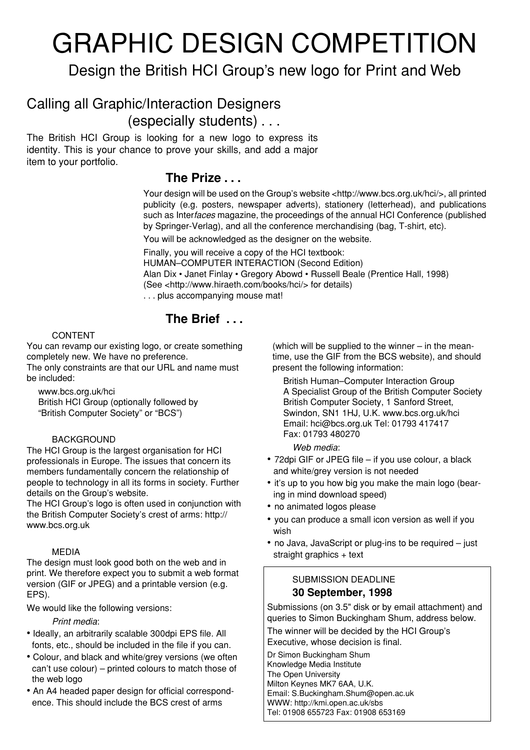# GRAPHIC DESIGN COMPETITION

## Design the British HCI Group's new logo for Print and Web

## Calling all Graphic/Interaction Designers (especially students) . . .

The British HCI Group is looking for a new logo to express its identity. This is your chance to prove your skills, and add a major item to your portfolio.

## **The Prize . . .**

Your design will be used on the Group's website <http://www.bcs.org.uk/hci/>, all printed publicity (e.g. posters, newspaper adverts), stationery (letterhead), and publications such as Interfaces magazine, the proceedings of the annual HCI Conference (published by Springer-Verlag), and all the conference merchandising (bag, T-shirt, etc).

You will be acknowledged as the designer on the website.

Finally, you will receive a copy of the HCI textbook:

HUMAN–COMPUTER INTERACTION (Second Edition)

Alan Dix • Janet Finlay • Gregory Abowd • Russell Beale (Prentice Hall, 1998)

(See <http://www.hiraeth.com/books/hci/> for details)

. . . plus accompanying mouse mat!

## **The Brief . . .**

## CONTENT

You can revamp our existing logo, or create something completely new. We have no preference.

The only constraints are that our URL and name must be included:

www.bcs.org.uk/hci British HCI Group (optionally followed by "British Computer Society" or "BCS")

## BACKGROUND

The HCI Group is the largest organisation for HCI professionals in Europe. The issues that concern its members fundamentally concern the relationship of people to technology in all its forms in society. Further details on the Group's website.

The HCI Group's logo is often used in conjunction with the British Computer Society's crest of arms: http:// www.bcs.org.uk

## MEDIA

The design must look good both on the web and in print. We therefore expect you to submit a web format version (GIF or JPEG) and a printable version (e.g. EPS).

We would like the following versions:

### Print media:

- Ideally, an arbitrarily scalable 300dpi EPS file. All fonts, etc., should be included in the file if you can.
- Colour, and black and white/grey versions (we often can't use colour) – printed colours to match those of the web logo
- An A4 headed paper design for official correspondence. This should include the BCS crest of arms

(which will be supplied to the winner – in the meantime, use the GIF from the BCS website), and should present the following information:

British Human–Computer Interaction Group A Specialist Group of the British Computer Society British Computer Society, 1 Sanford Street, Swindon, SN1 1HJ, U.K. www.bcs.org.uk/hci Email: hci@bcs.org.uk Tel: 01793 417417 Fax: 01793 480270

Web media:

- 72dpi GIF or JPEG file if you use colour, a black and white/grey version is not needed
- it's up to you how big you make the main logo (bearing in mind download speed)
- no animated logos please
- you can produce a small icon version as well if you wish
- no Java, JavaScript or plug-ins to be required just straight graphics + text

## SUBMISSION DEADLINE **30 September, 1998**

Submissions (on 3.5" disk or by email attachment) and queries to Simon Buckingham Shum, address below.

The winner will be decided by the HCI Group's Executive, whose decision is final.

Dr Simon Buckingham Shum Knowledge Media Institute The Open University Milton Keynes MK7 6AA, U.K. Email: S.Buckingham.Shum@open.ac.uk WWW: http://kmi.open.ac.uk/sbs Tel: 01908 655723 Fax: 01908 653169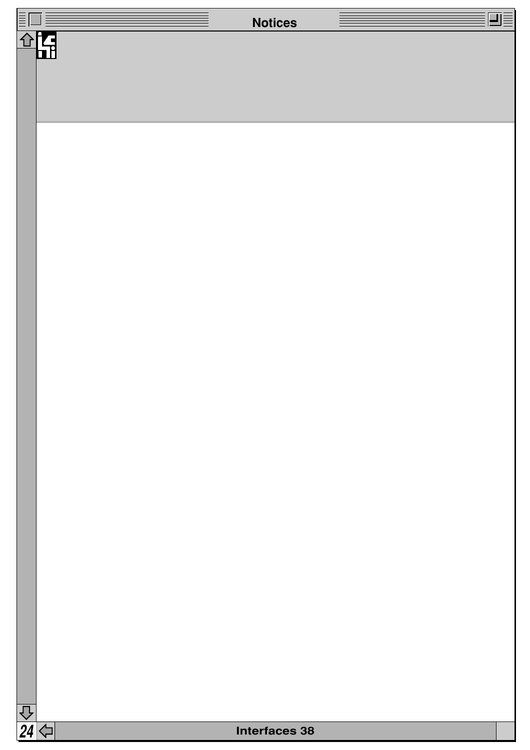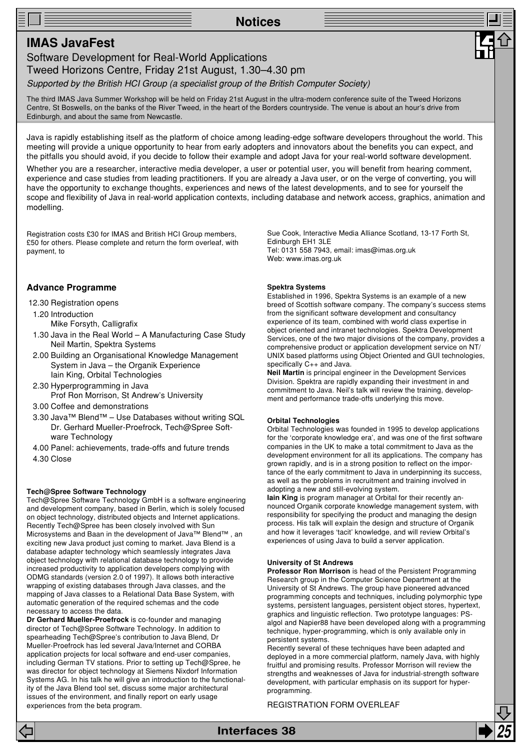## **Notices**

## **IMAS JavaFest**

Software Development for Real-World Applications Tweed Horizons Centre, Friday 21st August, 1.30–4.30 pm Supported by the British HCI Group (a specialist group of the British Computer Society)

The third IMAS Java Summer Workshop will be held on Friday 21st August in the ultra-modern conference suite of the Tweed Horizons Centre, St Boswells, on the banks of the River Tweed, in the heart of the Borders countryside. The venue is about an hour's drive from Edinburgh, and about the same from Newcastle.

Java is rapidly establishing itself as the platform of choice among leading-edge software developers throughout the world. This meeting will provide a unique opportunity to hear from early adopters and innovators about the benefits you can expect, and the pitfalls you should avoid, if you decide to follow their example and adopt Java for your real-world software development.

Whether you are a researcher, interactive media developer, a user or potential user, you will benefit from hearing comment, experience and case studies from leading practitioners. If you are already a Java user, or on the verge of converting, you will have the opportunity to exchange thoughts, experiences and news of the latest developments, and to see for yourself the scope and flexibility of Java in real-world application contexts, including database and network access, graphics, animation and modelling.

Registration costs £30 for IMAS and British HCI Group members, £50 for others. Please complete and return the form overleaf, with payment, to

#### **Advance Programme**

12.30 Registration opens

- 1.20 Introduction
	- Mike Forsyth, Calligrafix
- 1.30 Java in the Real World A Manufacturing Case Study Neil Martin, Spektra Systems
- 2.00 Building an Organisational Knowledge Management System in Java – the Organik Experience Iain King, Orbital Technologies
- 2.30 Hyperprogramming in Java Prof Ron Morrison, St Andrew's University
- 3.00 Coffee and demonstrations
- 3.30 Java™ Blend™ Use Databases without writing SQL Dr. Gerhard Mueller-Proefrock, Tech@Spree Software Technology
- 4.00 Panel: achievements, trade-offs and future trends
- 4.30 Close

#### **Tech@Spree Software Technology**

Tech@Spree Software Technology GmbH is a software engineering and development company, based in Berlin, which is solely focused on object technology, distributed objects and Internet applications. Recently Tech@Spree has been closely involved with Sun Microsystems and Baan in the development of Java™ Blend™ , an exciting new Java product just coming to market. Java Blend is a database adapter technology which seamlessly integrates Java object technology with relational database technology to provide increased productivity to application developers complying with ODMG standards (version 2.0 of 1997). It allows both interactive wrapping of existing databases through Java classes, and the mapping of Java classes to a Relational Data Base System, with automatic generation of the required schemas and the code necessary to access the data.

**Dr Gerhard Mueller-Proefrock** is co-founder and managing director of Tech@Spree Software Technology. In addition to spearheading Tech@Spree's contribution to Java Blend, Dr Mueller-Proefrock has led several Java/Internet and CORBA application projects for local software and end-user companies, including German TV stations. Prior to setting up Tech@Spree, he was director for object technology at Siemens Nixdorf Information Systems AG. In his talk he will give an introduction to the functionality of the Java Blend tool set, discuss some major architectural issues of the environment, and finally report on early usage experiences from the beta program. The state of the second section of REGISTRATION FORM OVERLEAF

Sue Cook, Interactive Media Alliance Scotland, 13-17 Forth St, Edinburgh EH1 3LE Tel: 0131 558 7943, email: imas@imas.org.uk Web: www.imas.org.uk

#### **Spektra Systems**

Established in 1996, Spektra Systems is an example of a new breed of Scottish software company. The company's success stems from the significant software development and consultancy experience of its team, combined with world class expertise in object oriented and intranet technologies. Spektra Development Services, one of the two major divisions of the company, provides a comprehensive product or application development service on NT/ UNIX based platforms using Object Oriented and GUI technologies, specifically C++ and Java.

**Neil Martin** is principal engineer in the Development Services Division. Spektra are rapidly expanding their investment in and commitment to Java. Neil's talk will review the training, development and performance trade-offs underlying this move.

#### **Orbital Technologies**

Orbital Technologies was founded in 1995 to develop applications for the 'corporate knowledge era', and was one of the first software companies in the UK to make a total commitment to Java as the development environment for all its applications. The company has grown rapidly, and is in a strong position to reflect on the importance of the early commitment to Java in underpinning its success, as well as the problems in recruitment and training involved in adopting a new and still-evolving system.

**Iain King** is program manager at Orbital for their recently announced Organik corporate knowledge management system, with responsibility for specifying the product and managing the design process. His talk will explain the design and structure of Organik and how it leverages 'tacit' knowledge, and will review Orbital's experiences of using Java to build a server application.

#### **University of St Andrews**

**Professor Ron Morrison** is head of the Persistent Programming Research group in the Computer Science Department at the University of St Andrews. The group have pioneered advanced programming concepts and techniques, including polymorphic type systems, persistent languages, persistent object stores, hypertext, graphics and linguistic reflection. Two prototype languages: PSalgol and Napier88 have been developed along with a programming technique, hyper-programming, which is only available only in persistent systems.

Recently several of these techniques have been adapted and deployed in a more commercial platform, namely Java, with highly fruitful and promising results. Professor Morrison will review the strengths and weaknesses of Java for industrial-strength software development, with particular emphasis on its support for hyperprogramming.

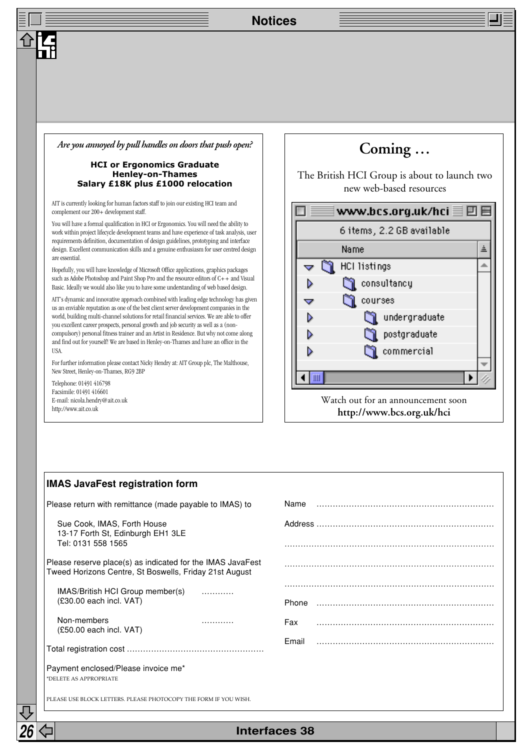*Are you annoyed by pull handles on doors that push open?*

#### **HCI or Ergonomics Graduate Henley-on-Thames Salary £18K plus £1000 relocation**

AIT is currently looking for human factors staff to join our existing HCI team and complement our 200+ development staff.

You will have a formal qualification in HCI or Ergonomics. You will need the ability to work within project lifecycle development teams and have experience of task analysis, user requirements definition, documentation of design guidelines, prototyping and interface design. Excellent communication skills and a genuine enthusiasm for user centred design are essential.

Hopefully, you will have knowledge of Microsoft Office applications, graphics packages such as Adobe Photoshop and Paint Shop Pro and the resource editors of C++ and Visual Basic. Ideally we would also like you to have some understanding of web based design.

AIT's dynamic and innovative approach combined with leading edge technology has given us an enviable reputation as one of the best client server development companies in the world, building multi-channel solutions for retail financial services. We are able to offer you excellent career prospects, personal growth and job security as well as a (noncompulsory) personal fitness trainer and an Artist in Residence. But why not come along and find out for yourself! We are based in Henley-on-Thames and have an office in the USA.

For further information please contact Nicky Hendry at: AIT Group plc, The Malthouse, New Street, Henley-on-Thames, RG9 2BP

Telephone: 01491 416798 Facsimile: 01491 416601 E-mail: nicola.hendry@ait.co.uk http://www.ait.co.uk

**Coming …**

The British HCI Group is about to launch two new web-based resources

|                           | www.bcs.org.uk/hci $\equiv \mathbb{E}$                          |  |
|---------------------------|-----------------------------------------------------------------|--|
| 6 items, 2.2 GB available |                                                                 |  |
|                           | Name                                                            |  |
|                           | HCl listings                                                    |  |
|                           | consultancy                                                     |  |
|                           | courses                                                         |  |
|                           | undergraduate                                                   |  |
|                           | postgraduate                                                    |  |
|                           | commercial                                                      |  |
|                           |                                                                 |  |
|                           |                                                                 |  |
|                           | Watch out for an announcement soon<br>http://www.bcs.org.uk/hci |  |

### **IMAS JavaFest registration form**

Please return with remittance (made payable to IMAS) to Sue Cook, IMAS, Forth House 13-17 Forth St, Edinburgh EH1 3LE Tel: 0131 558 1565 Please reserve place(s) as indicated for the IMAS JavaFest Tweed Horizons Centre, St Boswells, Friday 21st August IMAS/British HCI Group member(s) ………… (£30.00 each incl. VAT) Non-members ………… (£50.00 each incl. VAT) Total registration cost …………………………………………… Payment enclosed/Please invoice me\* \*DELETE AS APPROPRIATE PLEASE USE BLOCK LETTERS. PLEASE PHOTOCOPY THE FORM IF YOU WISH. Name ………………………………………………………… Address ………………………………………………………… …………………………………………………………………… …………………………………………………………………… …………………………………………………………………… Phone ………………………………………………………… Fax ………………………………………………………… Email …………………………………………………………

**26 Interfaces 38**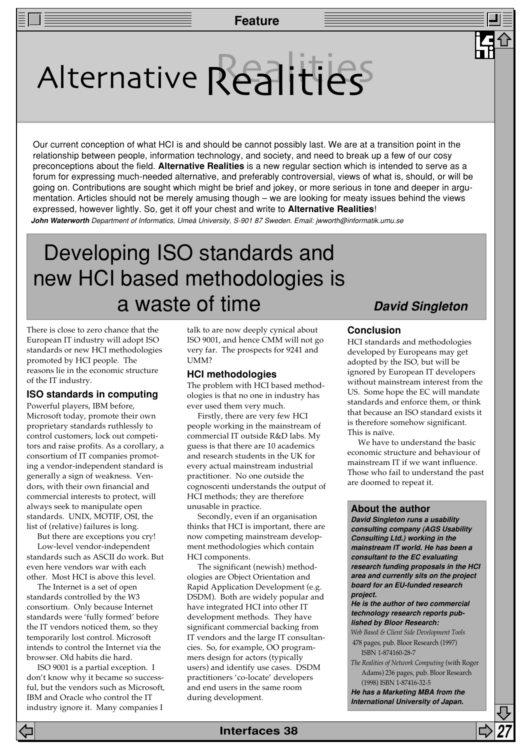# Alternative Realities

Our current conception of what HCI is and should be cannot possibly last. We are at a transition point in the relationship between people, information technology, and society, and need to break up a few of our cosy preconceptions about the field. **Alternative Realities** is a new regular section which is intended to serve as a forum for expressing much-needed alternative, and preferably controversial, views of what is, should, or will be going on. Contributions are sought which might be brief and jokey, or more serious in tone and deeper in argumentation. Articles should not be merely amusing though – we are looking for meaty issues behind the views expressed, however lightly. So, get it off your chest and write to **Alternative Realities**!

**John Waterworth** Department of Informatics, Umeå University, S-901 87 Sweden. Email: jwworth@informatik.umu.se

## Developing ISO standards and new HCI based methodologies is a waste of time **David Singleton**

There is close to zero chance that the European IT industry will adopt ISO standards or new HCI methodologies promoted by HCI people. The reasons lie in the economic structure of the IT industry.

#### **ISO standards in computing**

Powerful players, IBM before, Microsoft today, promote their own proprietary standards ruthlessly to control customers, lock out competitors and raise profits. As a corollary, a consortium of IT companies promoting a vendor-independent standard is generally a sign of weakness. Vendors, with their own financial and commercial interests to protect, will always seek to manipulate open standards. UNIX, MOTIF, OSI, the list of (relative) failures is long.

But there are exceptions you cry! Low-level vendor-independent standards such as ASCII do work. But even here vendors war with each other. Most HCI is above this level.

The Internet is a set of open standards controlled by the W3 consortium. Only because Internet standards were 'fully formed' before the IT vendors noticed them, so they temporarily lost control. Microsoft intends to control the Internet via the browser. Old habits die hard.

ISO 9001 is a partial exception. I don't know why it became so successful, but the vendors such as Microsoft, IBM and Oracle who control the IT industry ignore it. Many companies I

talk to are now deeply cynical about ISO 9001, and hence CMM will not go very far. The prospects for 9241 and UMM?

#### **HCI methodologies**

The problem with HCI based methodologies is that no one in industry has ever used them very much.

Firstly, there are very few HCI people working in the mainstream of commercial IT outside R&D labs. My guess is that there are 10 academics and research students in the UK for every actual mainstream industrial practitioner. No one outside the cognoscenti understands the output of HCI methods; they are therefore unusable in practice.

Secondly, even if an organisation thinks that HCI is important, there are now competing mainstream development methodologies which contain HCI components.

The significant (newish) methodologies are Object Orientation and Rapid Application Development (e.g. DSDM). Both are widely popular and have integrated HCI into other IT development methods. They have significant commercial backing from IT vendors and the large IT consultancies. So, for example, OO programmers design for actors (typically users) and identify use cases. DSDM practitioners 'co-locate' developers and end users in the same room during development.

### **Conclusion**

HCI standards and methodologies developed by Europeans may get adopted by the ISO, but will be ignored by European IT developers without mainstream interest from the US. Some hope the EC will mandate standards and enforce them, or think that because an ISO standard exists it is therefore somehow significant. This is naïve.

We have to understand the basic economic structure and behaviour of mainstream IT if we want influence. Those who fail to understand the past are doomed to repeat it.

#### **About the author**

**David Singleton runs a usability consulting company (AGS Usability Consulting Ltd.) working in the mainstream IT world. He has been a consultant to the EC evaluating research funding proposals in the HCI area and currently sits on the project board for an EU-funded research project.**

**He is the author of two commercial technology research reports published by Bloor Research:**

- *Web Based & Client Side Development Tools* 478 pages, pub. Bloor Research (1997) ISBN 1-874160-28-7
- *The Realities of Network Computing* (with Roger Adams) 236 pages, pub. Bloor Research (1998) ISBN 1-87416-32-5

**He has a Marketing MBA from the International University of Japan.**